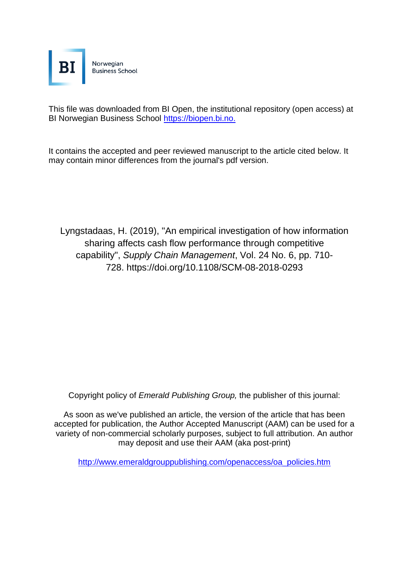

This file was downloaded from BI Open, the institutional repository (open access) at BI Norwegian Business School [https://biopen.bi.no.](https://biopen.bi.no./)

It contains the accepted and peer reviewed manuscript to the article cited below. It may contain minor differences from the journal's pdf version.

[Lyngstadaas, H.](https://www.emerald.com/insight/search?q=Hakim%20Lyngstadaas) (2019), "An empirical investigation of how information sharing affects cash flow performance through competitive capability", *[Supply Chain Management](https://www.emerald.com/insight/publication/issn/1359-8546)*, Vol. 24 No. 6, pp. 710- 728. <https://doi.org/10.1108/SCM-08-2018-0293>

Copyright policy of *Emerald Publishing Group,* the publisher of this journal:

As soon as we've published an article, the version of the article that has been accepted for publication, the Author Accepted Manuscript (AAM) can be used for a variety of non-commercial scholarly purposes, subject to full attribution. An author may deposit and use their AAM (aka post-print)

[http://www.emeraldgrouppublishing.com/openaccess/oa\\_policies.htm](http://www.emeraldgrouppublishing.com/openaccess/oa_policies.htm)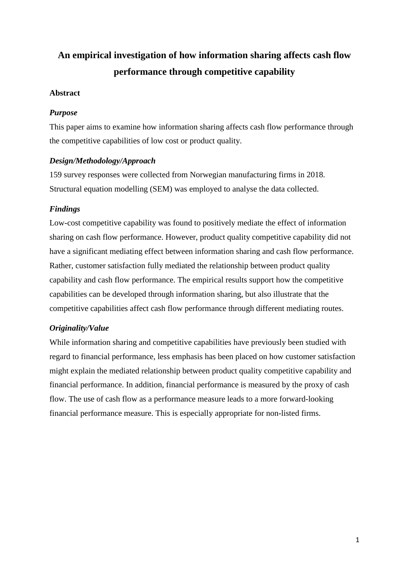# **An empirical investigation of how information sharing affects cash flow performance through competitive capability**

# **Abstract**

# *Purpose*

This paper aims to examine how information sharing affects cash flow performance through the competitive capabilities of low cost or product quality.

# *Design/Methodology/Approach*

159 survey responses were collected from Norwegian manufacturing firms in 2018. Structural equation modelling (SEM) was employed to analyse the data collected.

# *Findings*

Low-cost competitive capability was found to positively mediate the effect of information sharing on cash flow performance. However, product quality competitive capability did not have a significant mediating effect between information sharing and cash flow performance. Rather, customer satisfaction fully mediated the relationship between product quality capability and cash flow performance. The empirical results support how the competitive capabilities can be developed through information sharing, but also illustrate that the competitive capabilities affect cash flow performance through different mediating routes.

# *Originality/Value*

While information sharing and competitive capabilities have previously been studied with regard to financial performance, less emphasis has been placed on how customer satisfaction might explain the mediated relationship between product quality competitive capability and financial performance. In addition, financial performance is measured by the proxy of cash flow. The use of cash flow as a performance measure leads to a more forward-looking financial performance measure. This is especially appropriate for non-listed firms.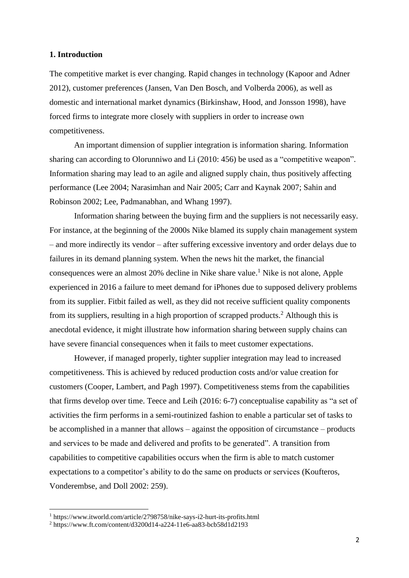## **1. Introduction**

The competitive market is ever changing. Rapid changes in technology (Kapoor and Adner 2012), customer preferences (Jansen, Van Den Bosch, and Volberda 2006), as well as domestic and international market dynamics (Birkinshaw, Hood, and Jonsson 1998), have forced firms to integrate more closely with suppliers in order to increase own competitiveness.

An important dimension of supplier integration is information sharing. Information sharing can according to Olorunniwo and Li (2010: 456) be used as a "competitive weapon". Information sharing may lead to an agile and aligned supply chain, thus positively affecting performance (Lee 2004; Narasimhan and Nair 2005; Carr and Kaynak 2007; Sahin and Robinson 2002; Lee, Padmanabhan, and Whang 1997).

Information sharing between the buying firm and the suppliers is not necessarily easy. For instance, at the beginning of the 2000s Nike blamed its supply chain management system – and more indirectly its vendor – after suffering excessive inventory and order delays due to failures in its demand planning system. When the news hit the market, the financial consequences were an almost 20% decline in Nike share value.<sup>1</sup> Nike is not alone, Apple experienced in 2016 a failure to meet demand for iPhones due to supposed delivery problems from its supplier. Fitbit failed as well, as they did not receive sufficient quality components from its suppliers, resulting in a high proportion of scrapped products. <sup>2</sup> Although this is anecdotal evidence, it might illustrate how information sharing between supply chains can have severe financial consequences when it fails to meet customer expectations.

However, if managed properly, tighter supplier integration may lead to increased competitiveness. This is achieved by reduced production costs and/or value creation for customers (Cooper, Lambert, and Pagh 1997). Competitiveness stems from the capabilities that firms develop over time. Teece and Leih (2016: 6-7) conceptualise capability as "a set of activities the firm performs in a semi-routinized fashion to enable a particular set of tasks to be accomplished in a manner that allows – against the opposition of circumstance – products and services to be made and delivered and profits to be generated". A transition from capabilities to competitive capabilities occurs when the firm is able to match customer expectations to a competitor's ability to do the same on products or services (Koufteros, Vonderembse, and Doll 2002: 259).

1

<sup>1</sup> https://www.itworld.com/article/2798758/nike-says-i2-hurt-its-profits.html

<sup>2</sup> https://www.ft.com/content/d3200d14-a224-11e6-aa83-bcb58d1d2193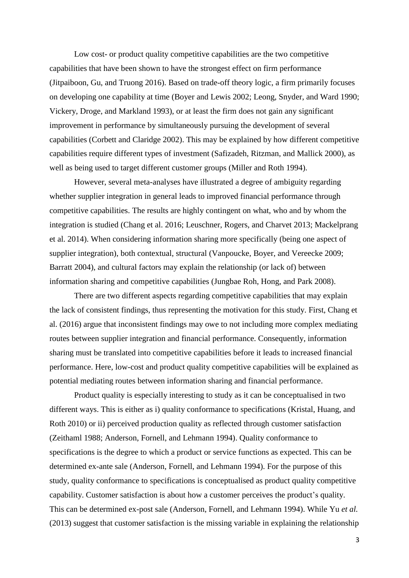Low cost- or product quality competitive capabilities are the two competitive capabilities that have been shown to have the strongest effect on firm performance (Jitpaiboon, Gu, and Truong 2016). Based on trade-off theory logic, a firm primarily focuses on developing one capability at time (Boyer and Lewis 2002; Leong, Snyder, and Ward 1990; Vickery, Droge, and Markland 1993), or at least the firm does not gain any significant improvement in performance by simultaneously pursuing the development of several capabilities (Corbett and Claridge 2002). This may be explained by how different competitive capabilities require different types of investment (Safizadeh, Ritzman, and Mallick 2000), as well as being used to target different customer groups (Miller and Roth 1994).

However, several meta-analyses have illustrated a degree of ambiguity regarding whether supplier integration in general leads to improved financial performance through competitive capabilities. The results are highly contingent on what, who and by whom the integration is studied (Chang et al. 2016; Leuschner, Rogers, and Charvet 2013; Mackelprang et al. 2014). When considering information sharing more specifically (being one aspect of supplier integration), both contextual, structural (Vanpoucke, Boyer, and Vereecke 2009; Barratt 2004), and cultural factors may explain the relationship (or lack of) between information sharing and competitive capabilities (Jungbae Roh, Hong, and Park 2008).

There are two different aspects regarding competitive capabilities that may explain the lack of consistent findings, thus representing the motivation for this study. First, Chang et al. (2016) argue that inconsistent findings may owe to not including more complex mediating routes between supplier integration and financial performance. Consequently, information sharing must be translated into competitive capabilities before it leads to increased financial performance. Here, low-cost and product quality competitive capabilities will be explained as potential mediating routes between information sharing and financial performance.

Product quality is especially interesting to study as it can be conceptualised in two different ways. This is either as i) quality conformance to specifications (Kristal, Huang, and Roth 2010) or ii) perceived production quality as reflected through customer satisfaction (Zeithaml 1988; Anderson, Fornell, and Lehmann 1994). Quality conformance to specifications is the degree to which a product or service functions as expected. This can be determined ex-ante sale (Anderson, Fornell, and Lehmann 1994). For the purpose of this study, quality conformance to specifications is conceptualised as product quality competitive capability. Customer satisfaction is about how a customer perceives the product's quality. This can be determined ex-post sale (Anderson, Fornell, and Lehmann 1994). While Yu *et al.*  (2013) suggest that customer satisfaction is the missing variable in explaining the relationship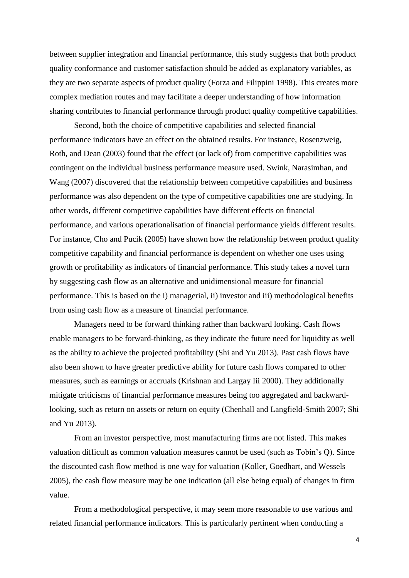between supplier integration and financial performance, this study suggests that both product quality conformance and customer satisfaction should be added as explanatory variables, as they are two separate aspects of product quality (Forza and Filippini 1998). This creates more complex mediation routes and may facilitate a deeper understanding of how information sharing contributes to financial performance through product quality competitive capabilities.

Second, both the choice of competitive capabilities and selected financial performance indicators have an effect on the obtained results. For instance, Rosenzweig, Roth, and Dean (2003) found that the effect (or lack of) from competitive capabilities was contingent on the individual business performance measure used. Swink, Narasimhan, and Wang (2007) discovered that the relationship between competitive capabilities and business performance was also dependent on the type of competitive capabilities one are studying. In other words, different competitive capabilities have different effects on financial performance, and various operationalisation of financial performance yields different results. For instance, Cho and Pucik (2005) have shown how the relationship between product quality competitive capability and financial performance is dependent on whether one uses using growth or profitability as indicators of financial performance. This study takes a novel turn by suggesting cash flow as an alternative and unidimensional measure for financial performance. This is based on the i) managerial, ii) investor and iii) methodological benefits from using cash flow as a measure of financial performance.

Managers need to be forward thinking rather than backward looking. Cash flows enable managers to be forward-thinking, as they indicate the future need for liquidity as well as the ability to achieve the projected profitability (Shi and Yu 2013). Past cash flows have also been shown to have greater predictive ability for future cash flows compared to other measures, such as earnings or accruals (Krishnan and Largay Iii 2000). They additionally mitigate criticisms of financial performance measures being too aggregated and backwardlooking, such as return on assets or return on equity (Chenhall and Langfield-Smith 2007; Shi and Yu 2013).

From an investor perspective, most manufacturing firms are not listed. This makes valuation difficult as common valuation measures cannot be used (such as Tobin's Q). Since the discounted cash flow method is one way for valuation (Koller, Goedhart, and Wessels 2005), the cash flow measure may be one indication (all else being equal) of changes in firm value.

From a methodological perspective, it may seem more reasonable to use various and related financial performance indicators. This is particularly pertinent when conducting a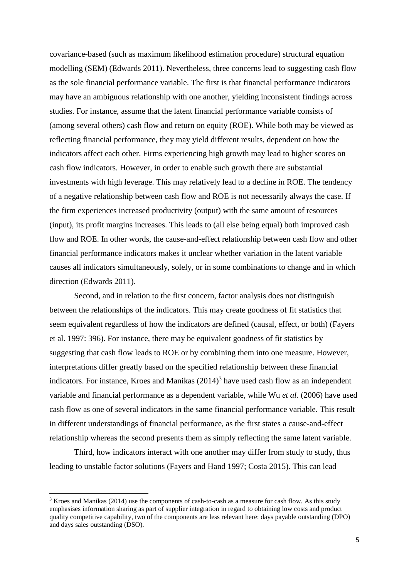covariance-based (such as maximum likelihood estimation procedure) structural equation modelling (SEM) (Edwards 2011). Nevertheless, three concerns lead to suggesting cash flow as the sole financial performance variable. The first is that financial performance indicators may have an ambiguous relationship with one another, yielding inconsistent findings across studies. For instance, assume that the latent financial performance variable consists of (among several others) cash flow and return on equity (ROE). While both may be viewed as reflecting financial performance, they may yield different results, dependent on how the indicators affect each other. Firms experiencing high growth may lead to higher scores on cash flow indicators. However, in order to enable such growth there are substantial investments with high leverage. This may relatively lead to a decline in ROE. The tendency of a negative relationship between cash flow and ROE is not necessarily always the case. If the firm experiences increased productivity (output) with the same amount of resources (input), its profit margins increases. This leads to (all else being equal) both improved cash flow and ROE. In other words, the cause-and-effect relationship between cash flow and other financial performance indicators makes it unclear whether variation in the latent variable causes all indicators simultaneously, solely, or in some combinations to change and in which direction (Edwards 2011).

Second, and in relation to the first concern, factor analysis does not distinguish between the relationships of the indicators. This may create goodness of fit statistics that seem equivalent regardless of how the indicators are defined (causal, effect, or both) (Fayers et al. 1997: 396). For instance, there may be equivalent goodness of fit statistics by suggesting that cash flow leads to ROE or by combining them into one measure. However, interpretations differ greatly based on the specified relationship between these financial indicators. For instance, Kroes and Manikas  $(2014)^3$  have used cash flow as an independent variable and financial performance as a dependent variable, while Wu *et al.* (2006) have used cash flow as one of several indicators in the same financial performance variable. This result in different understandings of financial performance, as the first states a cause-and-effect relationship whereas the second presents them as simply reflecting the same latent variable.

Third, how indicators interact with one another may differ from study to study, thus leading to unstable factor solutions (Fayers and Hand 1997; Costa 2015). This can lead

**.** 

<sup>3</sup> Kroes and Manikas (2014) use the components of cash-to-cash as a measure for cash flow. As this study emphasises information sharing as part of supplier integration in regard to obtaining low costs and product quality competitive capability, two of the components are less relevant here: days payable outstanding (DPO) and days sales outstanding (DSO).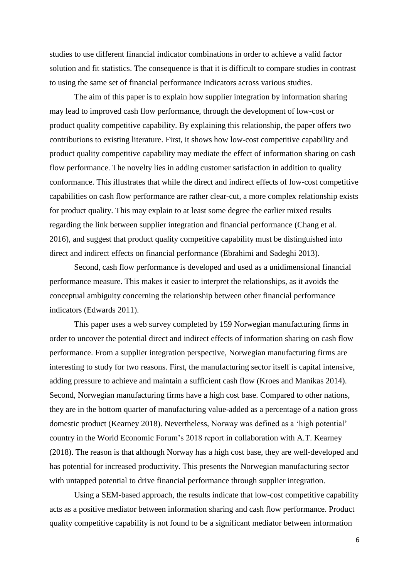studies to use different financial indicator combinations in order to achieve a valid factor solution and fit statistics. The consequence is that it is difficult to compare studies in contrast to using the same set of financial performance indicators across various studies.

The aim of this paper is to explain how supplier integration by information sharing may lead to improved cash flow performance, through the development of low-cost or product quality competitive capability. By explaining this relationship, the paper offers two contributions to existing literature. First, it shows how low-cost competitive capability and product quality competitive capability may mediate the effect of information sharing on cash flow performance. The novelty lies in adding customer satisfaction in addition to quality conformance. This illustrates that while the direct and indirect effects of low-cost competitive capabilities on cash flow performance are rather clear-cut, a more complex relationship exists for product quality. This may explain to at least some degree the earlier mixed results regarding the link between supplier integration and financial performance (Chang et al. 2016), and suggest that product quality competitive capability must be distinguished into direct and indirect effects on financial performance (Ebrahimi and Sadeghi 2013).

Second, cash flow performance is developed and used as a unidimensional financial performance measure. This makes it easier to interpret the relationships, as it avoids the conceptual ambiguity concerning the relationship between other financial performance indicators (Edwards 2011).

This paper uses a web survey completed by 159 Norwegian manufacturing firms in order to uncover the potential direct and indirect effects of information sharing on cash flow performance. From a supplier integration perspective, Norwegian manufacturing firms are interesting to study for two reasons. First, the manufacturing sector itself is capital intensive, adding pressure to achieve and maintain a sufficient cash flow (Kroes and Manikas 2014). Second, Norwegian manufacturing firms have a high cost base. Compared to other nations, they are in the bottom quarter of manufacturing value-added as a percentage of a nation gross domestic product (Kearney 2018). Nevertheless, Norway was defined as a 'high potential' country in the World Economic Forum's 2018 report in collaboration with A.T. Kearney (2018). The reason is that although Norway has a high cost base, they are well-developed and has potential for increased productivity. This presents the Norwegian manufacturing sector with untapped potential to drive financial performance through supplier integration.

Using a SEM-based approach, the results indicate that low-cost competitive capability acts as a positive mediator between information sharing and cash flow performance. Product quality competitive capability is not found to be a significant mediator between information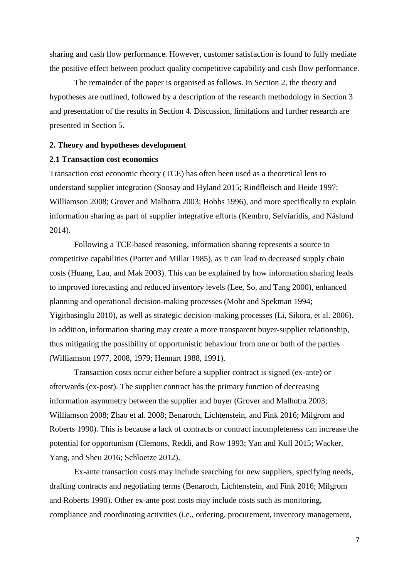sharing and cash flow performance. However, customer satisfaction is found to fully mediate the positive effect between product quality competitive capability and cash flow performance.

The remainder of the paper is organised as follows. In Section 2, the theory and hypotheses are outlined, followed by a description of the research methodology in Section 3 and presentation of the results in Section 4. Discussion, limitations and further research are presented in Section 5.

#### **2. Theory and hypotheses development**

#### **2.1 Transaction cost economics**

Transaction cost economic theory (TCE) has often been used as a theoretical lens to understand supplier integration (Soosay and Hyland 2015; Rindfleisch and Heide 1997; Williamson 2008; Grover and Malhotra 2003; Hobbs 1996), and more specifically to explain information sharing as part of supplier integrative efforts (Kembro, Selviaridis, and Näslund 2014).

Following a TCE-based reasoning, information sharing represents a source to competitive capabilities (Porter and Millar 1985), as it can lead to decreased supply chain costs (Huang, Lau, and Mak 2003). This can be explained by how information sharing leads to improved forecasting and reduced inventory levels (Lee, So, and Tang 2000), enhanced planning and operational decision-making processes (Mohr and Spekman 1994; Yigitbasioglu 2010), as well as strategic decision-making processes (Li, Sikora, et al. 2006). In addition, information sharing may create a more transparent buyer-supplier relationship, thus mitigating the possibility of opportunistic behaviour from one or both of the parties (Williamson 1977, 2008, 1979; Hennart 1988, 1991).

Transaction costs occur either before a supplier contract is signed (ex-ante) or afterwards (ex-post). The supplier contract has the primary function of decreasing information asymmetry between the supplier and buyer (Grover and Malhotra 2003; Williamson 2008; Zhao et al. 2008; Benaroch, Lichtenstein, and Fink 2016; Milgrom and Roberts 1990). This is because a lack of contracts or contract incompleteness can increase the potential for opportunism (Clemons, Reddi, and Row 1993; Yan and Kull 2015; Wacker, Yang, and Sheu 2016; Schloetze 2012).

Ex-ante transaction costs may include searching for new suppliers, specifying needs, drafting contracts and negotiating terms (Benaroch, Lichtenstein, and Fink 2016; Milgrom and Roberts 1990). Other ex-ante post costs may include costs such as monitoring, compliance and coordinating activities (i.e., ordering, procurement, inventory management,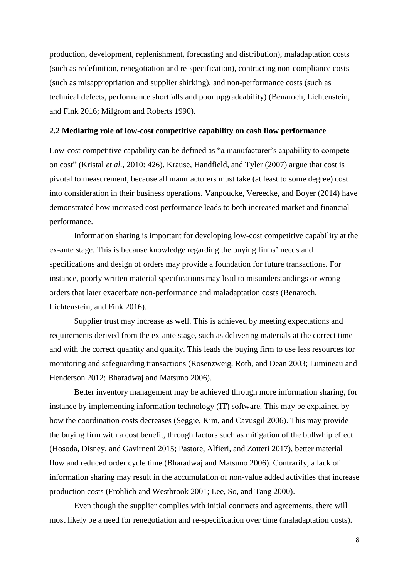production, development, replenishment, forecasting and distribution), maladaptation costs (such as redefinition, renegotiation and re-specification), contracting non-compliance costs (such as misappropriation and supplier shirking), and non-performance costs (such as technical defects, performance shortfalls and poor upgradeability) (Benaroch, Lichtenstein, and Fink 2016; Milgrom and Roberts 1990).

#### **2.2 Mediating role of low-cost competitive capability on cash flow performance**

Low-cost competitive capability can be defined as "a manufacturer's capability to compete on cost" (Kristal *et al.*, 2010: 426). Krause, Handfield, and Tyler (2007) argue that cost is pivotal to measurement, because all manufacturers must take (at least to some degree) cost into consideration in their business operations. Vanpoucke, Vereecke, and Boyer (2014) have demonstrated how increased cost performance leads to both increased market and financial performance.

Information sharing is important for developing low-cost competitive capability at the ex-ante stage. This is because knowledge regarding the buying firms' needs and specifications and design of orders may provide a foundation for future transactions. For instance, poorly written material specifications may lead to misunderstandings or wrong orders that later exacerbate non-performance and maladaptation costs (Benaroch, Lichtenstein, and Fink 2016).

Supplier trust may increase as well. This is achieved by meeting expectations and requirements derived from the ex-ante stage, such as delivering materials at the correct time and with the correct quantity and quality. This leads the buying firm to use less resources for monitoring and safeguarding transactions (Rosenzweig, Roth, and Dean 2003; Lumineau and Henderson 2012; Bharadwaj and Matsuno 2006).

Better inventory management may be achieved through more information sharing, for instance by implementing information technology (IT) software. This may be explained by how the coordination costs decreases (Seggie, Kim, and Cavusgil 2006). This may provide the buying firm with a cost benefit, through factors such as mitigation of the bullwhip effect (Hosoda, Disney, and Gavirneni 2015; Pastore, Alfieri, and Zotteri 2017), better material flow and reduced order cycle time (Bharadwaj and Matsuno 2006). Contrarily, a lack of information sharing may result in the accumulation of non-value added activities that increase production costs (Frohlich and Westbrook 2001; Lee, So, and Tang 2000).

Even though the supplier complies with initial contracts and agreements, there will most likely be a need for renegotiation and re-specification over time (maladaptation costs).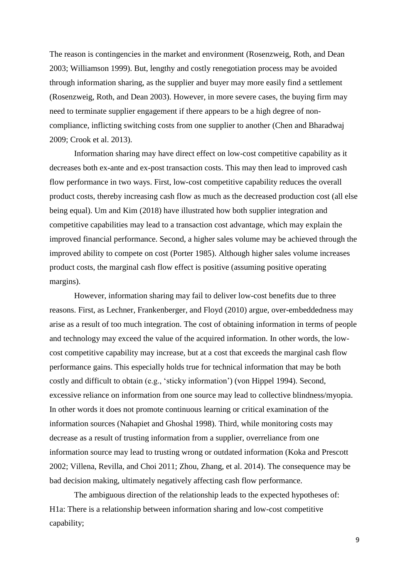The reason is contingencies in the market and environment (Rosenzweig, Roth, and Dean 2003; Williamson 1999). But, lengthy and costly renegotiation process may be avoided through information sharing, as the supplier and buyer may more easily find a settlement (Rosenzweig, Roth, and Dean 2003). However, in more severe cases, the buying firm may need to terminate supplier engagement if there appears to be a high degree of noncompliance, inflicting switching costs from one supplier to another (Chen and Bharadwaj 2009; Crook et al. 2013).

Information sharing may have direct effect on low-cost competitive capability as it decreases both ex-ante and ex-post transaction costs. This may then lead to improved cash flow performance in two ways. First, low-cost competitive capability reduces the overall product costs, thereby increasing cash flow as much as the decreased production cost (all else being equal). Um and Kim (2018) have illustrated how both supplier integration and competitive capabilities may lead to a transaction cost advantage, which may explain the improved financial performance. Second, a higher sales volume may be achieved through the improved ability to compete on cost (Porter 1985). Although higher sales volume increases product costs, the marginal cash flow effect is positive (assuming positive operating margins).

However, information sharing may fail to deliver low-cost benefits due to three reasons. First, as Lechner, Frankenberger, and Floyd (2010) argue, over-embeddedness may arise as a result of too much integration. The cost of obtaining information in terms of people and technology may exceed the value of the acquired information. In other words, the lowcost competitive capability may increase, but at a cost that exceeds the marginal cash flow performance gains. This especially holds true for technical information that may be both costly and difficult to obtain (e.g., 'sticky information') (von Hippel 1994). Second, excessive reliance on information from one source may lead to collective blindness/myopia. In other words it does not promote continuous learning or critical examination of the information sources (Nahapiet and Ghoshal 1998). Third, while monitoring costs may decrease as a result of trusting information from a supplier, overreliance from one information source may lead to trusting wrong or outdated information (Koka and Prescott 2002; Villena, Revilla, and Choi 2011; Zhou, Zhang, et al. 2014). The consequence may be bad decision making, ultimately negatively affecting cash flow performance.

The ambiguous direction of the relationship leads to the expected hypotheses of: H1a: There is a relationship between information sharing and low-cost competitive capability;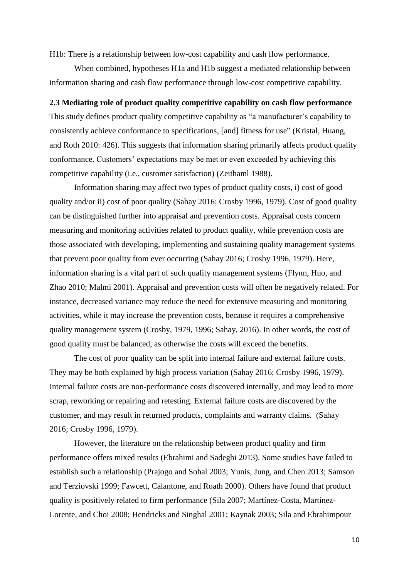H1b: There is a relationship between low-cost capability and cash flow performance.

When combined, hypotheses H1a and H1b suggest a mediated relationship between information sharing and cash flow performance through low-cost competitive capability.

#### **2.3 Mediating role of product quality competitive capability on cash flow performance**

This study defines product quality competitive capability as "a manufacturer's capability to consistently achieve conformance to specifications, [and] fitness for use" (Kristal, Huang, and Roth 2010: 426). This suggests that information sharing primarily affects product quality conformance. Customers' expectations may be met or even exceeded by achieving this competitive capability (i.e., customer satisfaction) (Zeithaml 1988).

Information sharing may affect two types of product quality costs, i) cost of good quality and/or ii) cost of poor quality (Sahay 2016; Crosby 1996, 1979). Cost of good quality can be distinguished further into appraisal and prevention costs. Appraisal costs concern measuring and monitoring activities related to product quality, while prevention costs are those associated with developing, implementing and sustaining quality management systems that prevent poor quality from ever occurring (Sahay 2016; Crosby 1996, 1979). Here, information sharing is a vital part of such quality management systems (Flynn, Huo, and Zhao 2010; Malmi 2001). Appraisal and prevention costs will often be negatively related. For instance, decreased variance may reduce the need for extensive measuring and monitoring activities, while it may increase the prevention costs, because it requires a comprehensive quality management system (Crosby, 1979, 1996; Sahay, 2016). In other words, the cost of good quality must be balanced, as otherwise the costs will exceed the benefits.

The cost of poor quality can be split into internal failure and external failure costs. They may be both explained by high process variation (Sahay 2016; Crosby 1996, 1979). Internal failure costs are non-performance costs discovered internally, and may lead to more scrap, reworking or repairing and retesting. External failure costs are discovered by the customer, and may result in returned products, complaints and warranty claims. (Sahay 2016; Crosby 1996, 1979).

However, the literature on the relationship between product quality and firm performance offers mixed results (Ebrahimi and Sadeghi 2013). Some studies have failed to establish such a relationship (Prajogo and Sohal 2003; Yunis, Jung, and Chen 2013; Samson and Terziovski 1999; Fawcett, Calantone, and Roath 2000). Others have found that product quality is positively related to firm performance (Sila 2007; Martínez-Costa, Martínez-Lorente, and Choi 2008; Hendricks and Singhal 2001; Kaynak 2003; Sila and Ebrahimpour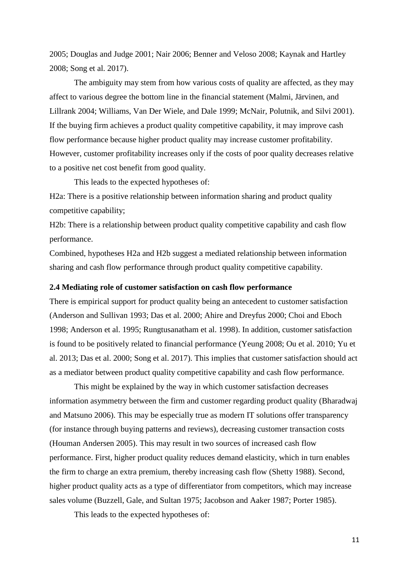2005; Douglas and Judge 2001; Nair 2006; Benner and Veloso 2008; Kaynak and Hartley 2008; Song et al. 2017).

The ambiguity may stem from how various costs of quality are affected, as they may affect to various degree the bottom line in the financial statement (Malmi, Järvinen, and Lillrank 2004; Williams, Van Der Wiele, and Dale 1999; McNair, Polutnik, and Silvi 2001). If the buying firm achieves a product quality competitive capability, it may improve cash flow performance because higher product quality may increase customer profitability. However, customer profitability increases only if the costs of poor quality decreases relative to a positive net cost benefit from good quality.

This leads to the expected hypotheses of:

H2a: There is a positive relationship between information sharing and product quality competitive capability;

H2b: There is a relationship between product quality competitive capability and cash flow performance.

Combined, hypotheses H2a and H2b suggest a mediated relationship between information sharing and cash flow performance through product quality competitive capability.

## **2.4 Mediating role of customer satisfaction on cash flow performance**

There is empirical support for product quality being an antecedent to customer satisfaction (Anderson and Sullivan 1993; Das et al. 2000; Ahire and Dreyfus 2000; Choi and Eboch 1998; Anderson et al. 1995; Rungtusanatham et al. 1998). In addition, customer satisfaction is found to be positively related to financial performance (Yeung 2008; Ou et al. 2010; Yu et al. 2013; Das et al. 2000; Song et al. 2017). This implies that customer satisfaction should act as a mediator between product quality competitive capability and cash flow performance.

This might be explained by the way in which customer satisfaction decreases information asymmetry between the firm and customer regarding product quality (Bharadwaj and Matsuno 2006). This may be especially true as modern IT solutions offer transparency (for instance through buying patterns and reviews), decreasing customer transaction costs (Houman Andersen 2005). This may result in two sources of increased cash flow performance. First, higher product quality reduces demand elasticity, which in turn enables the firm to charge an extra premium, thereby increasing cash flow (Shetty 1988). Second, higher product quality acts as a type of differentiator from competitors, which may increase sales volume (Buzzell, Gale, and Sultan 1975; Jacobson and Aaker 1987; Porter 1985).

This leads to the expected hypotheses of: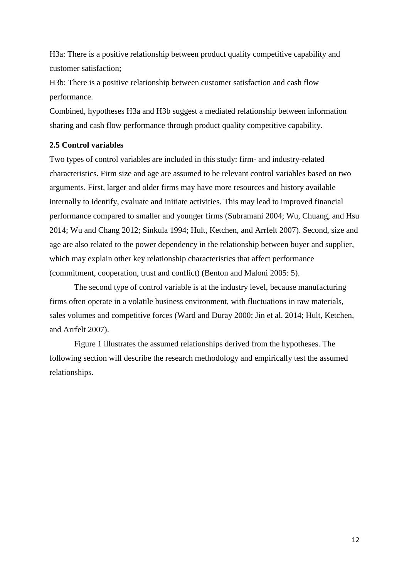H3a: There is a positive relationship between product quality competitive capability and customer satisfaction;

H3b: There is a positive relationship between customer satisfaction and cash flow performance.

Combined, hypotheses H3a and H3b suggest a mediated relationship between information sharing and cash flow performance through product quality competitive capability.

# **2.5 Control variables**

Two types of control variables are included in this study: firm- and industry-related characteristics. Firm size and age are assumed to be relevant control variables based on two arguments. First, larger and older firms may have more resources and history available internally to identify, evaluate and initiate activities. This may lead to improved financial performance compared to smaller and younger firms (Subramani 2004; Wu, Chuang, and Hsu 2014; Wu and Chang 2012; Sinkula 1994; Hult, Ketchen, and Arrfelt 2007). Second, size and age are also related to the power dependency in the relationship between buyer and supplier, which may explain other key relationship characteristics that affect performance (commitment, cooperation, trust and conflict) (Benton and Maloni 2005: 5).

The second type of control variable is at the industry level, because manufacturing firms often operate in a volatile business environment, with fluctuations in raw materials, sales volumes and competitive forces (Ward and Duray 2000; Jin et al. 2014; Hult, Ketchen, and Arrfelt 2007).

Figure 1 illustrates the assumed relationships derived from the hypotheses. The following section will describe the research methodology and empirically test the assumed relationships.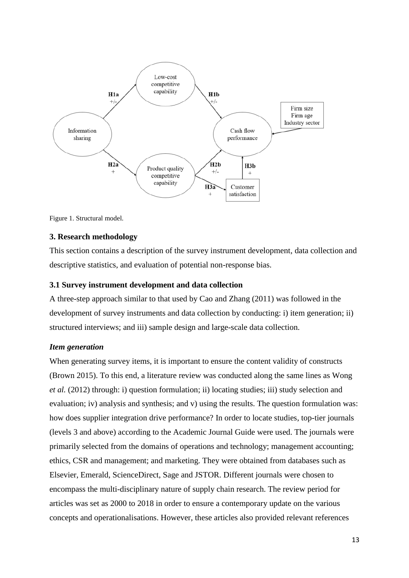

Figure 1. Structural model.

## **3. Research methodology**

This section contains a description of the survey instrument development, data collection and descriptive statistics, and evaluation of potential non-response bias.

#### **3.1 Survey instrument development and data collection**

A three-step approach similar to that used by Cao and Zhang (2011) was followed in the development of survey instruments and data collection by conducting: i) item generation; ii) structured interviews; and iii) sample design and large-scale data collection.

### *Item generation*

When generating survey items, it is important to ensure the content validity of constructs (Brown 2015). To this end, a literature review was conducted along the same lines as Wong *et al.* (2012) through: i) question formulation; ii) locating studies; iii) study selection and evaluation; iv) analysis and synthesis; and v) using the results. The question formulation was: how does supplier integration drive performance? In order to locate studies, top-tier journals (levels 3 and above) according to the Academic Journal Guide were used. The journals were primarily selected from the domains of operations and technology; management accounting; ethics, CSR and management; and marketing. They were obtained from databases such as Elsevier, Emerald, ScienceDirect, Sage and JSTOR. Different journals were chosen to encompass the multi-disciplinary nature of supply chain research. The review period for articles was set as 2000 to 2018 in order to ensure a contemporary update on the various concepts and operationalisations. However, these articles also provided relevant references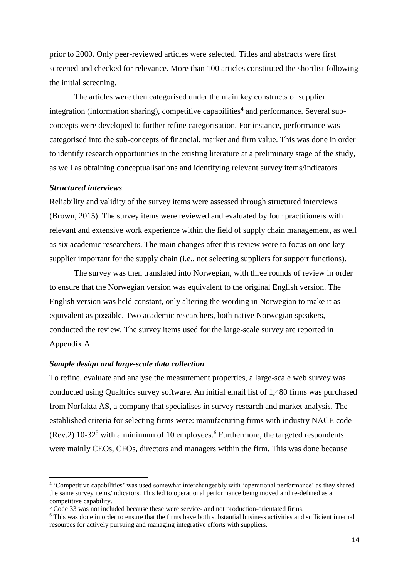prior to 2000. Only peer-reviewed articles were selected. Titles and abstracts were first screened and checked for relevance. More than 100 articles constituted the shortlist following the initial screening.

The articles were then categorised under the main key constructs of supplier integration (information sharing), competitive capabilities<sup>4</sup> and performance. Several subconcepts were developed to further refine categorisation. For instance, performance was categorised into the sub-concepts of financial, market and firm value. This was done in order to identify research opportunities in the existing literature at a preliminary stage of the study, as well as obtaining conceptualisations and identifying relevant survey items/indicators.

# *Structured interviews*

**.** 

Reliability and validity of the survey items were assessed through structured interviews (Brown, 2015). The survey items were reviewed and evaluated by four practitioners with relevant and extensive work experience within the field of supply chain management, as well as six academic researchers. The main changes after this review were to focus on one key supplier important for the supply chain (i.e., not selecting suppliers for support functions).

The survey was then translated into Norwegian, with three rounds of review in order to ensure that the Norwegian version was equivalent to the original English version. The English version was held constant, only altering the wording in Norwegian to make it as equivalent as possible. Two academic researchers, both native Norwegian speakers, conducted the review. The survey items used for the large-scale survey are reported in Appendix A.

#### *Sample design and large-scale data collection*

To refine, evaluate and analyse the measurement properties, a large-scale web survey was conducted using Qualtrics survey software. An initial email list of 1,480 firms was purchased from Norfakta AS, a company that specialises in survey research and market analysis. The established criteria for selecting firms were: manufacturing firms with industry NACE code (Rev.2)  $10-32^5$  with a minimum of 10 employees.<sup>6</sup> Furthermore, the targeted respondents were mainly CEOs, CFOs, directors and managers within the firm. This was done because

<sup>4</sup> 'Competitive capabilities' was used somewhat interchangeably with 'operational performance' as they shared the same survey items/indicators. This led to operational performance being moved and re-defined as a competitive capability.

<sup>5</sup> Code 33 was not included because these were service- and not production-orientated firms.

<sup>6</sup> This was done in order to ensure that the firms have both substantial business activities and sufficient internal resources for actively pursuing and managing integrative efforts with suppliers.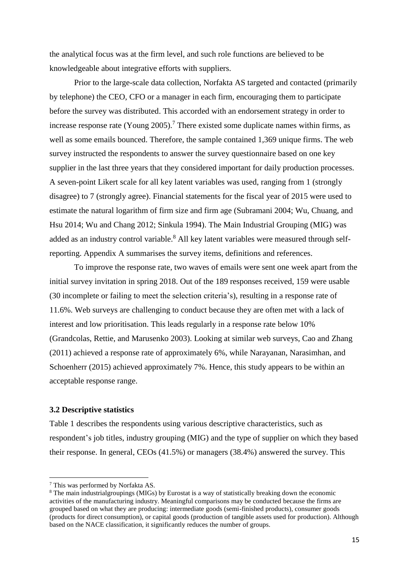the analytical focus was at the firm level, and such role functions are believed to be knowledgeable about integrative efforts with suppliers.

Prior to the large-scale data collection, Norfakta AS targeted and contacted (primarily by telephone) the CEO, CFO or a manager in each firm, encouraging them to participate before the survey was distributed. This accorded with an endorsement strategy in order to increase response rate (Young 2005). <sup>7</sup> There existed some duplicate names within firms, as well as some emails bounced. Therefore, the sample contained 1,369 unique firms. The web survey instructed the respondents to answer the survey questionnaire based on one key supplier in the last three years that they considered important for daily production processes. A seven-point Likert scale for all key latent variables was used, ranging from 1 (strongly disagree) to 7 (strongly agree). Financial statements for the fiscal year of 2015 were used to estimate the natural logarithm of firm size and firm age (Subramani 2004; Wu, Chuang, and Hsu 2014; Wu and Chang 2012; Sinkula 1994). The Main Industrial Grouping (MIG) was added as an industry control variable.<sup>8</sup> All key latent variables were measured through selfreporting. Appendix A summarises the survey items, definitions and references.

To improve the response rate, two waves of emails were sent one week apart from the initial survey invitation in spring 2018. Out of the 189 responses received, 159 were usable (30 incomplete or failing to meet the selection criteria's), resulting in a response rate of 11.6%. Web surveys are challenging to conduct because they are often met with a lack of interest and low prioritisation. This leads regularly in a response rate below 10% (Grandcolas, Rettie, and Marusenko 2003). Looking at similar web surveys, Cao and Zhang (2011) achieved a response rate of approximately 6%, while Narayanan, Narasimhan, and Schoenherr (2015) achieved approximately 7%. Hence, this study appears to be within an acceptable response range.

# **3.2 Descriptive statistics**

Table 1 describes the respondents using various descriptive characteristics, such as respondent's job titles, industry grouping (MIG) and the type of supplier on which they based their response. In general, CEOs (41.5%) or managers (38.4%) answered the survey. This

**.** 

<sup>7</sup> This was performed by Norfakta AS.

<sup>8</sup> The main industrialgroupings (MIGs) by Eurostat is a way of statistically breaking down the economic activities of the manufacturing industry. Meaningful comparisons may be conducted because the firms are grouped based on what they are producing: intermediate goods (semi-finished products), consumer goods (products for direct consumption), or capital goods (production of tangible assets used for production). Although based on the NACE classification, it significantly reduces the number of groups.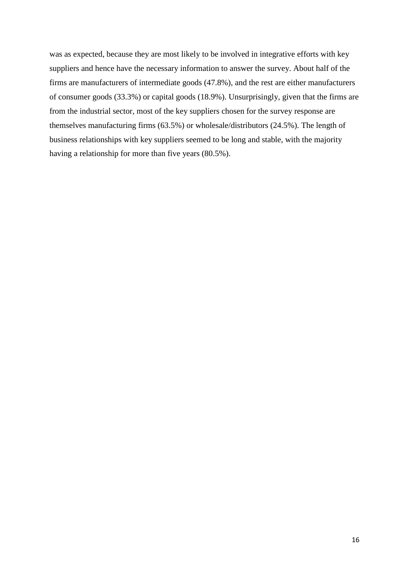was as expected, because they are most likely to be involved in integrative efforts with key suppliers and hence have the necessary information to answer the survey. About half of the firms are manufacturers of intermediate goods (47.8%), and the rest are either manufacturers of consumer goods (33.3%) or capital goods (18.9%). Unsurprisingly, given that the firms are from the industrial sector, most of the key suppliers chosen for the survey response are themselves manufacturing firms (63.5%) or wholesale/distributors (24.5%). The length of business relationships with key suppliers seemed to be long and stable, with the majority having a relationship for more than five years (80.5%).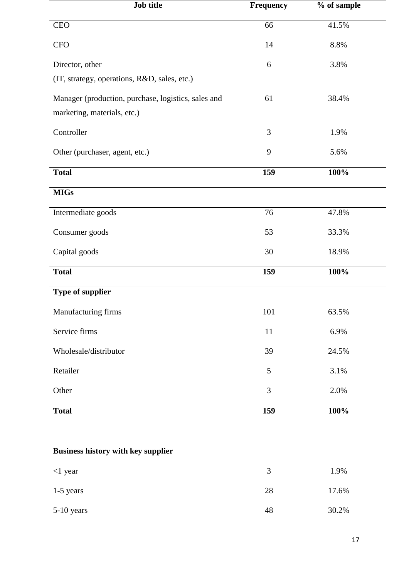| Job title                                           | Frequency | % of sample |
|-----------------------------------------------------|-----------|-------------|
| <b>CEO</b>                                          | 66        | 41.5%       |
| <b>CFO</b>                                          | 14        | 8.8%        |
| Director, other                                     | 6         | 3.8%        |
| (IT, strategy, operations, R&D, sales, etc.)        |           |             |
| Manager (production, purchase, logistics, sales and | 61        | 38.4%       |
| marketing, materials, etc.)                         |           |             |
| Controller                                          | 3         | 1.9%        |
| Other (purchaser, agent, etc.)                      | 9         | 5.6%        |
| <b>Total</b>                                        | 159       | 100%        |
| MIGs                                                |           |             |
| Intermediate goods                                  | 76        | 47.8%       |
| Consumer goods                                      | 53        | 33.3%       |
| Capital goods                                       | 30        | 18.9%       |
| <b>Total</b>                                        | 159       | 100%        |
| <b>Type of supplier</b>                             |           |             |
| Manufacturing firms                                 | 101       | 63.5%       |
| Service firms                                       | 11        | 6.9%        |
| Wholesale/distributor                               | 39        | 24.5%       |
| Retailer                                            | 5         | 3.1%        |
| Other                                               | 3         | 2.0%        |
| <b>Total</b>                                        | 159       | 100%        |

| <b>Business history with key supplier</b> |    |       |  |  |
|-------------------------------------------|----|-------|--|--|
| $<$ 1 year                                | 3  | 1.9%  |  |  |
| $1-5$ years                               | 28 | 17.6% |  |  |
| $5-10$ years                              | 48 | 30.2% |  |  |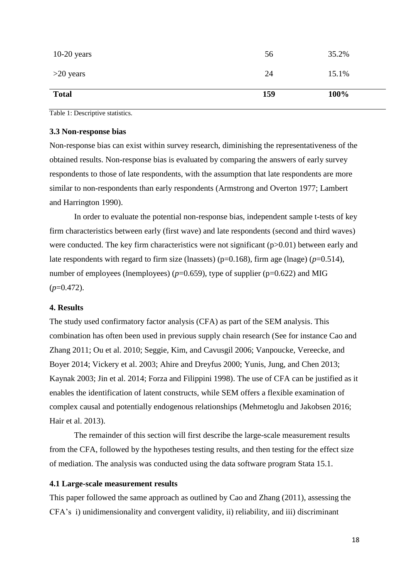| 100% |       |
|------|-------|
|      | 15.1% |

Table 1: Descriptive statistics.

# **3.3 Non-response bias**

Non-response bias can exist within survey research, diminishing the representativeness of the obtained results. Non-response bias is evaluated by comparing the answers of early survey respondents to those of late respondents, with the assumption that late respondents are more similar to non-respondents than early respondents (Armstrong and Overton 1977; Lambert and Harrington 1990).

In order to evaluate the potential non-response bias, independent sample t-tests of key firm characteristics between early (first wave) and late respondents (second and third waves) were conducted. The key firm characteristics were not significant  $(p>0.01)$  between early and late respondents with regard to firm size (lnassets) (p=0.168), firm age (lnage) (*p*=0.514), number of employees (lnemployees)  $(p=0.659)$ , type of supplier  $(p=0.622)$  and MIG  $(p=0.472)$ .

# **4. Results**

The study used confirmatory factor analysis (CFA) as part of the SEM analysis. This combination has often been used in previous supply chain research (See for instance Cao and Zhang 2011; Ou et al. 2010; Seggie, Kim, and Cavusgil 2006; Vanpoucke, Vereecke, and Boyer 2014; Vickery et al. 2003; Ahire and Dreyfus 2000; Yunis, Jung, and Chen 2013; Kaynak 2003; Jin et al. 2014; Forza and Filippini 1998). The use of CFA can be justified as it enables the identification of latent constructs, while SEM offers a flexible examination of complex causal and potentially endogenous relationships (Mehmetoglu and Jakobsen 2016; Hair et al. 2013).

The remainder of this section will first describe the large-scale measurement results from the CFA, followed by the hypotheses testing results, and then testing for the effect size of mediation. The analysis was conducted using the data software program Stata 15.1.

# **4.1 Large-scale measurement results**

This paper followed the same approach as outlined by Cao and Zhang (2011), assessing the CFA's i) unidimensionality and convergent validity, ii) reliability, and iii) discriminant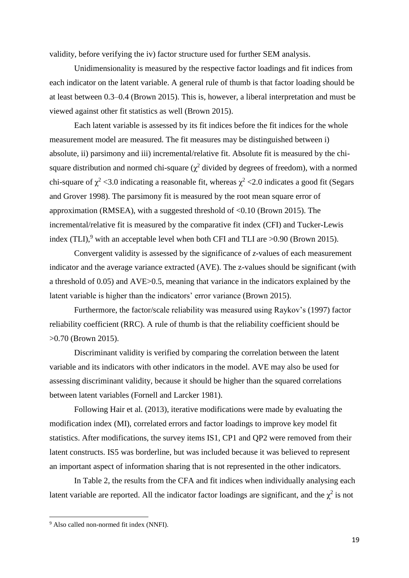validity, before verifying the iv) factor structure used for further SEM analysis.

Unidimensionality is measured by the respective factor loadings and fit indices from each indicator on the latent variable. A general rule of thumb is that factor loading should be at least between 0.3–0.4 (Brown 2015). This is, however, a liberal interpretation and must be viewed against other fit statistics as well (Brown 2015).

Each latent variable is assessed by its fit indices before the fit indices for the whole measurement model are measured. The fit measures may be distinguished between i) absolute, ii) parsimony and iii) incremental/relative fit. Absolute fit is measured by the chisquare distribution and normed chi-square ( $\chi^2$  divided by degrees of freedom), with a normed chi-square of  $\chi^2$  <3.0 indicating a reasonable fit, whereas  $\chi^2$  <2.0 indicates a good fit (Segars and Grover 1998). The parsimony fit is measured by the root mean square error of approximation (RMSEA), with a suggested threshold of  $\leq 0.10$  (Brown 2015). The incremental/relative fit is measured by the comparative fit index (CFI) and Tucker-Lewis index (TLI),<sup>9</sup> with an acceptable level when both CFI and TLI are  $>0.90$  (Brown 2015).

Convergent validity is assessed by the significance of *z*-values of each measurement indicator and the average variance extracted (AVE). The z-values should be significant (with a threshold of 0.05) and AVE>0.5, meaning that variance in the indicators explained by the latent variable is higher than the indicators' error variance (Brown 2015).

Furthermore, the factor/scale reliability was measured using Raykov's (1997) factor reliability coefficient (RRC). A rule of thumb is that the reliability coefficient should be >0.70 (Brown 2015).

Discriminant validity is verified by comparing the correlation between the latent variable and its indicators with other indicators in the model. AVE may also be used for assessing discriminant validity, because it should be higher than the squared correlations between latent variables (Fornell and Larcker 1981).

Following Hair et al. (2013), iterative modifications were made by evaluating the modification index (MI), correlated errors and factor loadings to improve key model fit statistics. After modifications, the survey items IS1, CP1 and QP2 were removed from their latent constructs. IS5 was borderline, but was included because it was believed to represent an important aspect of information sharing that is not represented in the other indicators.

In Table 2, the results from the CFA and fit indices when individually analysing each latent variable are reported. All the indicator factor loadings are significant, and the  $\chi^2$  is not

**.** 

<sup>&</sup>lt;sup>9</sup> Also called non-normed fit index (NNFI).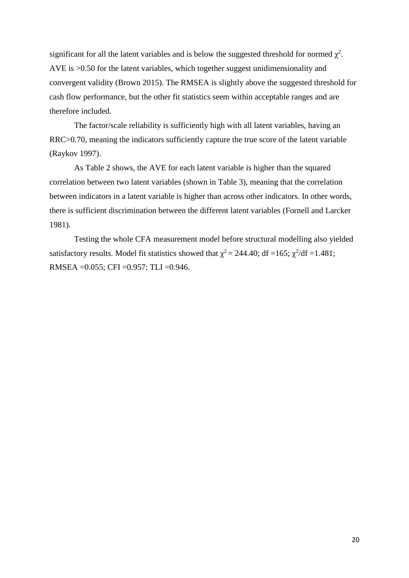significant for all the latent variables and is below the suggested threshold for normed  $\chi^2$ . AVE is >0.50 for the latent variables, which together suggest unidimensionality and convergent validity (Brown 2015). The RMSEA is slightly above the suggested threshold for cash flow performance, but the other fit statistics seem within acceptable ranges and are therefore included.

The factor/scale reliability is sufficiently high with all latent variables, having an RRC>0.70, meaning the indicators sufficiently capture the true score of the latent variable (Raykov 1997).

As Table 2 shows, the AVE for each latent variable is higher than the squared correlation between two latent variables (shown in Table 3), meaning that the correlation between indicators in a latent variable is higher than across other indicators. In other words, there is sufficient discrimination between the different latent variables (Fornell and Larcker 1981).

Testing the whole CFA measurement model before structural modelling also yielded satisfactory results. Model fit statistics showed that  $\chi^2 = 244.40$ ; df =165;  $\chi^2$ /df =1.481; RMSEA =0.055; CFI =0.957; TLI =0.946.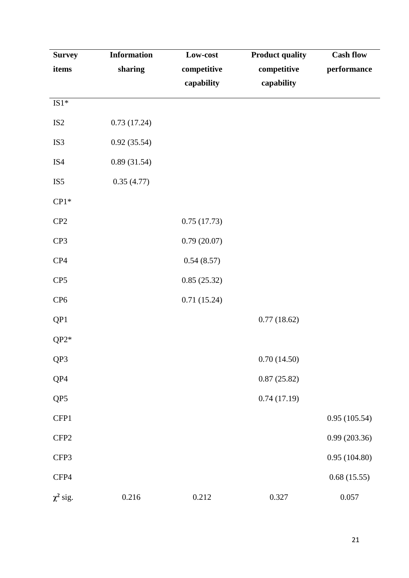| <b>Survey</b>    | <b>Information</b> | Low-cost    | <b>Product quality</b> | <b>Cash flow</b> |
|------------------|--------------------|-------------|------------------------|------------------|
| items            | sharing            | competitive | competitive            | performance      |
|                  |                    | capability  | capability             |                  |
| $IS1*$           |                    |             |                        |                  |
| IS <sub>2</sub>  | 0.73(17.24)        |             |                        |                  |
| IS3              | 0.92(35.54)        |             |                        |                  |
| IS4              | 0.89(31.54)        |             |                        |                  |
| IS <sub>5</sub>  | 0.35(4.77)         |             |                        |                  |
| $CP1*$           |                    |             |                        |                  |
| CP2              |                    | 0.75(17.73) |                        |                  |
| CP3              |                    | 0.79(20.07) |                        |                  |
| CP4              |                    | 0.54(8.57)  |                        |                  |
| CP <sub>5</sub>  |                    | 0.85(25.32) |                        |                  |
| CP <sub>6</sub>  |                    | 0.71(15.24) |                        |                  |
| QP1              |                    |             | 0.77(18.62)            |                  |
| $QP2*$           |                    |             |                        |                  |
| QP3              |                    |             | 0.70(14.50)            |                  |
| QP4              |                    |             | 0.87(25.82)            |                  |
| QP5              |                    |             | 0.74(17.19)            |                  |
| CFP1             |                    |             |                        | 0.95(105.54)     |
| CFP <sub>2</sub> |                    |             |                        | 0.99(203.36)     |
| CFP3             |                    |             |                        | 0.95(104.80)     |
| CFP4             |                    |             |                        | 0.68(15.55)      |
| $\chi^2$ sig.    | 0.216              | 0.212       | 0.327                  | 0.057            |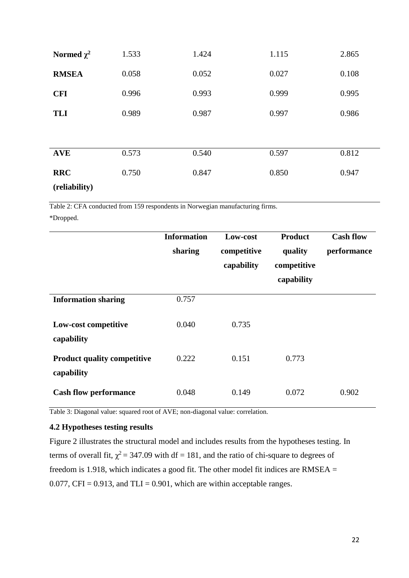| Normed $\chi^2$ | 1.533 | 1.424 | 1.115 | 2.865 |
|-----------------|-------|-------|-------|-------|
| <b>RMSEA</b>    | 0.058 | 0.052 | 0.027 | 0.108 |
| <b>CFI</b>      | 0.996 | 0.993 | 0.999 | 0.995 |
| <b>TLI</b>      | 0.989 | 0.987 | 0.997 | 0.986 |
|                 |       |       |       |       |
| <b>AVE</b>      | 0.573 | 0.540 | 0.597 | 0.812 |
| <b>RRC</b>      | 0.750 | 0.847 | 0.850 | 0.947 |
| (reliability)   |       |       |       |       |

Table 2: CFA conducted from 159 respondents in Norwegian manufacturing firms.

\*Dropped.

|                                                  | <b>Information</b><br>sharing | Low-cost<br>competitive<br>capability | <b>Product</b><br>quality<br>competitive<br>capability | <b>Cash flow</b><br>performance |
|--------------------------------------------------|-------------------------------|---------------------------------------|--------------------------------------------------------|---------------------------------|
| <b>Information sharing</b>                       | 0.757                         |                                       |                                                        |                                 |
| Low-cost competitive<br>capability               | 0.040                         | 0.735                                 |                                                        |                                 |
| <b>Product quality competitive</b><br>capability | 0.222                         | 0.151                                 | 0.773                                                  |                                 |
| <b>Cash flow performance</b>                     | 0.048                         | 0.149                                 | 0.072                                                  | 0.902                           |

Table 3: Diagonal value: squared root of AVE; non-diagonal value: correlation.

# **4.2 Hypotheses testing results**

Figure 2 illustrates the structural model and includes results from the hypotheses testing. In terms of overall fit,  $\chi^2$  = 347.09 with df = 181, and the ratio of chi-square to degrees of freedom is 1.918, which indicates a good fit. The other model fit indices are RMSEA  $=$ 0.077, CFI = 0.913, and TLI = 0.901, which are within acceptable ranges.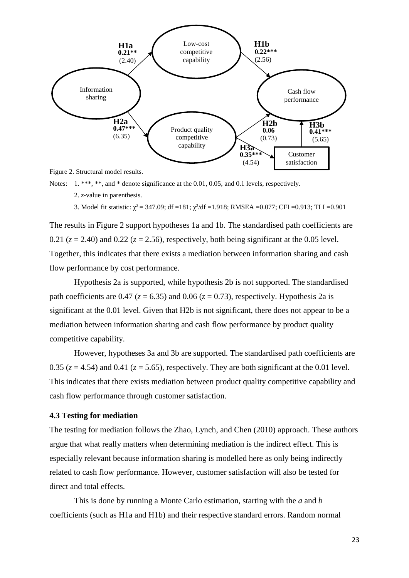

Figure 2. Structural model results.

Notes: 1. \*\*\*, \*\*, and \* denote significance at the 0.01, 0.05, and 0.1 levels, respectively.

2. *z-*value in parenthesis.

3. Model fit statistic:  $\chi^2 = 347.09$ ; df =181;  $\chi^2/df = 1.918$ ; RMSEA =0.077; CFI =0.913; TLI =0.901

The results in Figure 2 support hypotheses 1a and 1b. The standardised path coefficients are 0.21  $(z = 2.40)$  and 0.22  $(z = 2.56)$ , respectively, both being significant at the 0.05 level. Together, this indicates that there exists a mediation between information sharing and cash flow performance by cost performance.

Hypothesis 2a is supported, while hypothesis 2b is not supported. The standardised path coefficients are 0.47 ( $z = 6.35$ ) and 0.06 ( $z = 0.73$ ), respectively. Hypothesis 2a is significant at the 0.01 level. Given that H2b is not significant, there does not appear to be a mediation between information sharing and cash flow performance by product quality competitive capability.

However, hypotheses 3a and 3b are supported. The standardised path coefficients are 0.35 ( $z = 4.54$ ) and 0.41 ( $z = 5.65$ ), respectively. They are both significant at the 0.01 level. This indicates that there exists mediation between product quality competitive capability and cash flow performance through customer satisfaction.

#### **4.3 Testing for mediation**

The testing for mediation follows the Zhao, Lynch, and Chen (2010) approach. These authors argue that what really matters when determining mediation is the indirect effect. This is especially relevant because information sharing is modelled here as only being indirectly related to cash flow performance. However, customer satisfaction will also be tested for direct and total effects.

This is done by running a Monte Carlo estimation, starting with the *a* and *b* coefficients (such as H1a and H1b) and their respective standard errors. Random normal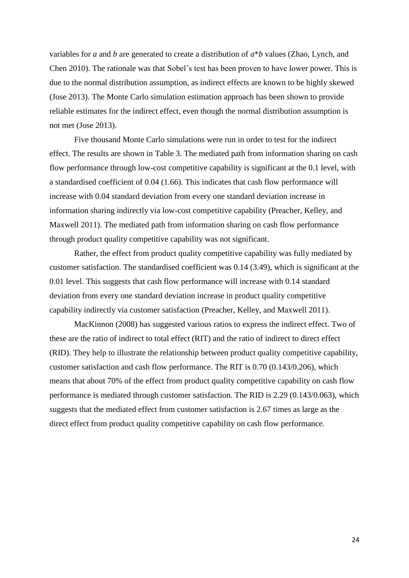variables for *a* and *b* are generated to create a distribution of *a*\**b* values (Zhao, Lynch, and Chen 2010). The rationale was that Sobel's test has been proven to have lower power. This is due to the normal distribution assumption, as indirect effects are known to be highly skewed (Jose 2013). The Monte Carlo simulation estimation approach has been shown to provide reliable estimates for the indirect effect, even though the normal distribution assumption is not met (Jose 2013).

Five thousand Monte Carlo simulations were run in order to test for the indirect effect. The results are shown in Table 3. The mediated path from information sharing on cash flow performance through low-cost competitive capability is significant at the 0.1 level, with a standardised coefficient of 0.04 (1.66). This indicates that cash flow performance will increase with 0.04 standard deviation from every one standard deviation increase in information sharing indirectly via low-cost competitive capability (Preacher, Kelley, and Maxwell 2011). The mediated path from information sharing on cash flow performance through product quality competitive capability was not significant.

Rather, the effect from product quality competitive capability was fully mediated by customer satisfaction. The standardised coefficient was 0.14 (3.49), which is significant at the 0.01 level. This suggests that cash flow performance will increase with 0.14 standard deviation from every one standard deviation increase in product quality competitive capability indirectly via customer satisfaction (Preacher, Kelley, and Maxwell 2011).

MacKinnon (2008) has suggested various ratios to express the indirect effect. Two of these are the ratio of indirect to total effect (RIT) and the ratio of indirect to direct effect (RID). They help to illustrate the relationship between product quality competitive capability, customer satisfaction and cash flow performance. The RIT is 0.70 (0.143/0.206), which means that about 70% of the effect from product quality competitive capability on cash flow performance is mediated through customer satisfaction. The RID is 2.29 (0.143/0.063), which suggests that the mediated effect from customer satisfaction is 2.67 times as large as the direct effect from product quality competitive capability on cash flow performance.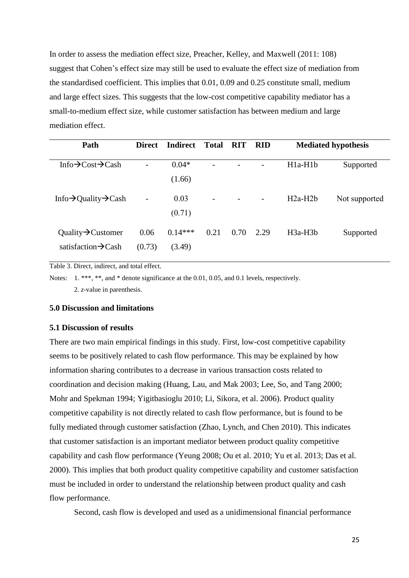In order to assess the mediation effect size, Preacher, Kelley, and Maxwell (2011: 108) suggest that Cohen's effect size may still be used to evaluate the effect size of mediation from the standardised coefficient. This implies that 0.01, 0.09 and 0.25 constitute small, medium and large effect sizes. This suggests that the low-cost competitive capability mediator has a small-to-medium effect size, while customer satisfaction has between medium and large mediation effect.

| Path                                          | <b>Direct</b>            | <b>Indirect</b> | <b>Total</b> | <b>RIT</b> | <b>RID</b> |           | <b>Mediated hypothesis</b> |
|-----------------------------------------------|--------------------------|-----------------|--------------|------------|------------|-----------|----------------------------|
|                                               |                          |                 |              |            |            |           |                            |
| Info $\rightarrow$ Cost $\rightarrow$ Cash    | -                        | $0.04*$         |              |            |            | $H1a-H1b$ | Supported                  |
|                                               |                          | (1.66)          |              |            |            |           |                            |
| Info $\rightarrow$ Quality $\rightarrow$ Cash | $\overline{\phantom{a}}$ | 0.03            | -            |            | -          | $H2a-H2b$ | Not supported              |
|                                               |                          | (0.71)          |              |            |            |           |                            |
| Quality $\rightarrow$ Customer                | 0.06                     | $0.14***$       | 0.21         | 0.70       | 2.29       | $H3a-H3b$ | Supported                  |
| satisfaction $\rightarrow$ Cash               | (0.73)                   | (3.49)          |              |            |            |           |                            |

Table 3. Direct, indirect, and total effect.

Notes: 1. \*\*\*, \*\*, and \* denote significance at the 0.01, 0.05, and 0.1 levels, respectively. 2. *z-*value in parenthesis.

#### **5.0 Discussion and limitations**

## **5.1 Discussion of results**

There are two main empirical findings in this study. First, low-cost competitive capability seems to be positively related to cash flow performance. This may be explained by how information sharing contributes to a decrease in various transaction costs related to coordination and decision making (Huang, Lau, and Mak 2003; Lee, So, and Tang 2000; Mohr and Spekman 1994; Yigitbasioglu 2010; Li, Sikora, et al. 2006). Product quality competitive capability is not directly related to cash flow performance, but is found to be fully mediated through customer satisfaction (Zhao, Lynch, and Chen 2010). This indicates that customer satisfaction is an important mediator between product quality competitive capability and cash flow performance (Yeung 2008; Ou et al. 2010; Yu et al. 2013; Das et al. 2000). This implies that both product quality competitive capability and customer satisfaction must be included in order to understand the relationship between product quality and cash flow performance.

Second, cash flow is developed and used as a unidimensional financial performance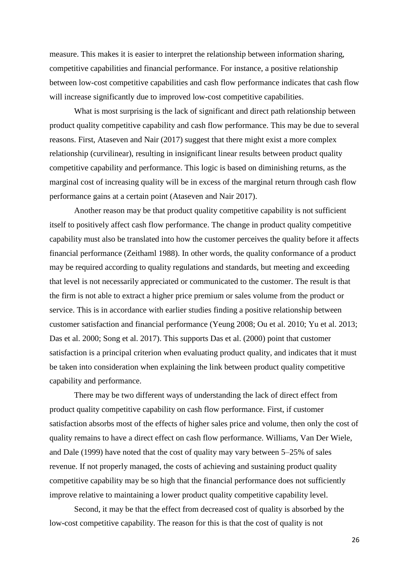measure. This makes it is easier to interpret the relationship between information sharing, competitive capabilities and financial performance. For instance, a positive relationship between low-cost competitive capabilities and cash flow performance indicates that cash flow will increase significantly due to improved low-cost competitive capabilities.

What is most surprising is the lack of significant and direct path relationship between product quality competitive capability and cash flow performance. This may be due to several reasons. First, Ataseven and Nair (2017) suggest that there might exist a more complex relationship (curvilinear), resulting in insignificant linear results between product quality competitive capability and performance. This logic is based on diminishing returns, as the marginal cost of increasing quality will be in excess of the marginal return through cash flow performance gains at a certain point (Ataseven and Nair 2017).

Another reason may be that product quality competitive capability is not sufficient itself to positively affect cash flow performance. The change in product quality competitive capability must also be translated into how the customer perceives the quality before it affects financial performance (Zeithaml 1988). In other words, the quality conformance of a product may be required according to quality regulations and standards, but meeting and exceeding that level is not necessarily appreciated or communicated to the customer. The result is that the firm is not able to extract a higher price premium or sales volume from the product or service. This is in accordance with earlier studies finding a positive relationship between customer satisfaction and financial performance (Yeung 2008; Ou et al. 2010; Yu et al. 2013; Das et al. 2000; Song et al. 2017). This supports Das et al. (2000) point that customer satisfaction is a principal criterion when evaluating product quality, and indicates that it must be taken into consideration when explaining the link between product quality competitive capability and performance.

There may be two different ways of understanding the lack of direct effect from product quality competitive capability on cash flow performance. First, if customer satisfaction absorbs most of the effects of higher sales price and volume, then only the cost of quality remains to have a direct effect on cash flow performance. Williams, Van Der Wiele, and Dale (1999) have noted that the cost of quality may vary between 5–25% of sales revenue. If not properly managed, the costs of achieving and sustaining product quality competitive capability may be so high that the financial performance does not sufficiently improve relative to maintaining a lower product quality competitive capability level.

Second, it may be that the effect from decreased cost of quality is absorbed by the low-cost competitive capability. The reason for this is that the cost of quality is not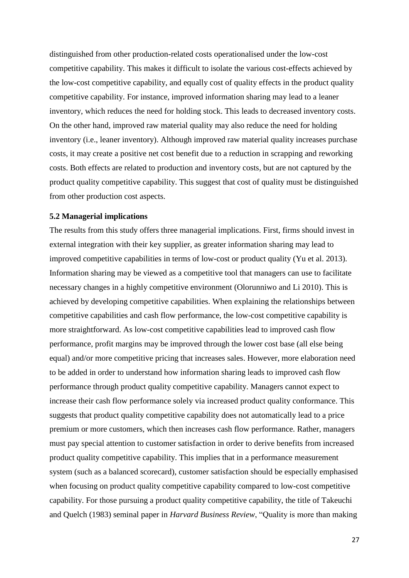distinguished from other production-related costs operationalised under the low-cost competitive capability. This makes it difficult to isolate the various cost-effects achieved by the low-cost competitive capability, and equally cost of quality effects in the product quality competitive capability. For instance, improved information sharing may lead to a leaner inventory, which reduces the need for holding stock. This leads to decreased inventory costs. On the other hand, improved raw material quality may also reduce the need for holding inventory (i.e., leaner inventory). Although improved raw material quality increases purchase costs, it may create a positive net cost benefit due to a reduction in scrapping and reworking costs. Both effects are related to production and inventory costs, but are not captured by the product quality competitive capability. This suggest that cost of quality must be distinguished from other production cost aspects.

#### **5.2 Managerial implications**

The results from this study offers three managerial implications. First, firms should invest in external integration with their key supplier, as greater information sharing may lead to improved competitive capabilities in terms of low-cost or product quality (Yu et al. 2013). Information sharing may be viewed as a competitive tool that managers can use to facilitate necessary changes in a highly competitive environment (Olorunniwo and Li 2010). This is achieved by developing competitive capabilities. When explaining the relationships between competitive capabilities and cash flow performance, the low-cost competitive capability is more straightforward. As low-cost competitive capabilities lead to improved cash flow performance, profit margins may be improved through the lower cost base (all else being equal) and/or more competitive pricing that increases sales. However, more elaboration need to be added in order to understand how information sharing leads to improved cash flow performance through product quality competitive capability. Managers cannot expect to increase their cash flow performance solely via increased product quality conformance. This suggests that product quality competitive capability does not automatically lead to a price premium or more customers, which then increases cash flow performance. Rather, managers must pay special attention to customer satisfaction in order to derive benefits from increased product quality competitive capability. This implies that in a performance measurement system (such as a balanced scorecard), customer satisfaction should be especially emphasised when focusing on product quality competitive capability compared to low-cost competitive capability. For those pursuing a product quality competitive capability, the title of Takeuchi and Quelch (1983) seminal paper in *Harvard Business Review*, "Quality is more than making

27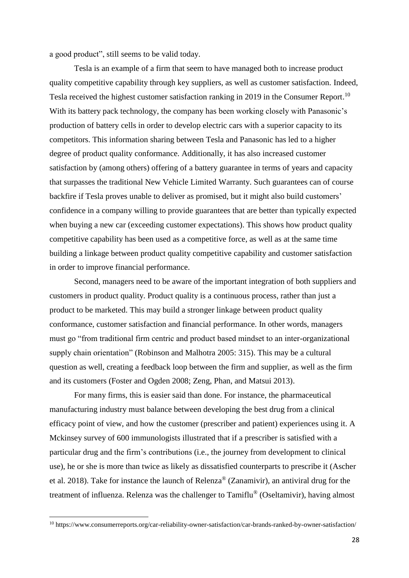a good product", still seems to be valid today.

Tesla is an example of a firm that seem to have managed both to increase product quality competitive capability through key suppliers, as well as customer satisfaction. Indeed, Tesla received the highest customer satisfaction ranking in 2019 in the Consumer Report.<sup>10</sup> With its battery pack technology, the company has been working closely with Panasonic's production of battery cells in order to develop electric cars with a superior capacity to its competitors. This information sharing between Tesla and Panasonic has led to a higher degree of product quality conformance. Additionally, it has also increased customer satisfaction by (among others) offering of a battery guarantee in terms of years and capacity that surpasses the traditional New Vehicle Limited Warranty. Such guarantees can of course backfire if Tesla proves unable to deliver as promised, but it might also build customers' confidence in a company willing to provide guarantees that are better than typically expected when buying a new car (exceeding customer expectations). This shows how product quality competitive capability has been used as a competitive force, as well as at the same time building a linkage between product quality competitive capability and customer satisfaction in order to improve financial performance.

Second, managers need to be aware of the important integration of both suppliers and customers in product quality. Product quality is a continuous process, rather than just a product to be marketed. This may build a stronger linkage between product quality conformance, customer satisfaction and financial performance. In other words, managers must go "from traditional firm centric and product based mindset to an inter-organizational supply chain orientation" (Robinson and Malhotra 2005: 315). This may be a cultural question as well, creating a feedback loop between the firm and supplier, as well as the firm and its customers (Foster and Ogden 2008; Zeng, Phan, and Matsui 2013).

For many firms, this is easier said than done. For instance, the pharmaceutical manufacturing industry must balance between developing the best drug from a clinical efficacy point of view, and how the customer (prescriber and patient) experiences using it. A Mckinsey survey of 600 immunologists illustrated that if a prescriber is satisfied with a particular drug and the firm's contributions (i.e., the journey from development to clinical use), he or she is more than twice as likely as dissatisfied counterparts to prescribe it (Ascher et al. 2018). Take for instance the launch of Relenza® (Zanamivir), an antiviral drug for the treatment of influenza. Relenza was the challenger to Tamiflu® (Oseltamivir), having almost

**.** 

<sup>10</sup> https://www.consumerreports.org/car-reliability-owner-satisfaction/car-brands-ranked-by-owner-satisfaction/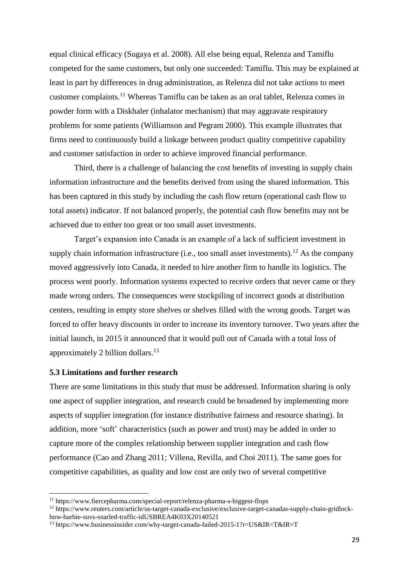equal clinical efficacy (Sugaya et al. 2008). All else being equal, Relenza and Tamiflu competed for the same customers, but only one succeeded: Tamiflu. This may be explained at least in part by differences in drug administration, as Relenza did not take actions to meet customer complaints. <sup>11</sup> Whereas Tamiflu can be taken as an oral tablet, Relenza comes in powder form with a Diskhaler (inhalator mechanism) that may aggravate respiratory problems for some patients (Williamson and Pegram 2000). This example illustrates that firms need to continuously build a linkage between product quality competitive capability and customer satisfaction in order to achieve improved financial performance.

Third, there is a challenge of balancing the cost benefits of investing in supply chain information infrastructure and the benefits derived from using the shared information. This has been captured in this study by including the cash flow return (operational cash flow to total assets) indicator. If not balanced properly, the potential cash flow benefits may not be achieved due to either too great or too small asset investments.

Target's expansion into Canada is an example of a lack of sufficient investment in supply chain information infrastructure (i.e., too small asset investments).<sup>12</sup> As the company moved aggressively into Canada, it needed to hire another firm to handle its logistics. The process went poorly. Information systems expected to receive orders that never came or they made wrong orders. The consequences were stockpiling of incorrect goods at distribution centers, resulting in empty store shelves or shelves filled with the wrong goods. Target was forced to offer heavy discounts in order to increase its inventory turnover. Two years after the initial launch, in 2015 it announced that it would pull out of Canada with a total loss of approximately 2 billion dollars.<sup>13</sup>

# **5.3 Limitations and further research**

**.** 

There are some limitations in this study that must be addressed. Information sharing is only one aspect of supplier integration, and research could be broadened by implementing more aspects of supplier integration (for instance distributive fairness and resource sharing). In addition, more 'soft' characteristics (such as power and trust) may be added in order to capture more of the complex relationship between supplier integration and cash flow performance (Cao and Zhang 2011; Villena, Revilla, and Choi 2011). The same goes for competitive capabilities, as quality and low cost are only two of several competitive

<sup>12</sup> https://www.reuters.com/article/us-target-canada-exclusive/exclusive-target-canadas-supply-chain-gridlockhow-barbie-suvs-snarled-traffic-idUSBREA4K03X20140521

<sup>11</sup> https://www.fiercepharma.com/special-report/relenza-pharma-s-biggest-flops

<sup>&</sup>lt;sup>13</sup> https://www.businessinsider.com/why-target-canada-failed-2015-1?r=US&IR=T&IR=T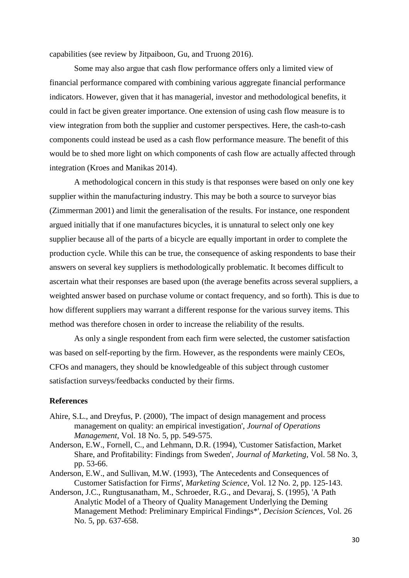capabilities (see review by Jitpaiboon, Gu, and Truong 2016).

Some may also argue that cash flow performance offers only a limited view of financial performance compared with combining various aggregate financial performance indicators. However, given that it has managerial, investor and methodological benefits, it could in fact be given greater importance. One extension of using cash flow measure is to view integration from both the supplier and customer perspectives. Here, the cash-to-cash components could instead be used as a cash flow performance measure. The benefit of this would be to shed more light on which components of cash flow are actually affected through integration (Kroes and Manikas 2014).

A methodological concern in this study is that responses were based on only one key supplier within the manufacturing industry. This may be both a source to surveyor bias (Zimmerman 2001) and limit the generalisation of the results. For instance, one respondent argued initially that if one manufactures bicycles, it is unnatural to select only one key supplier because all of the parts of a bicycle are equally important in order to complete the production cycle. While this can be true, the consequence of asking respondents to base their answers on several key suppliers is methodologically problematic. It becomes difficult to ascertain what their responses are based upon (the average benefits across several suppliers, a weighted answer based on purchase volume or contact frequency, and so forth). This is due to how different suppliers may warrant a different response for the various survey items. This method was therefore chosen in order to increase the reliability of the results.

As only a single respondent from each firm were selected, the customer satisfaction was based on self-reporting by the firm. However, as the respondents were mainly CEOs, CFOs and managers, they should be knowledgeable of this subject through customer satisfaction surveys/feedbacks conducted by their firms.

## **References**

- Ahire, S.L., and Dreyfus, P. (2000), 'The impact of design management and process management on quality: an empirical investigation', *Journal of Operations Management*, Vol. 18 No. 5, pp. 549-575.
- Anderson, E.W., Fornell, C., and Lehmann, D.R. (1994), 'Customer Satisfaction, Market Share, and Profitability: Findings from Sweden', *Journal of Marketing*, Vol. 58 No. 3, pp. 53-66.
- Anderson, E.W., and Sullivan, M.W. (1993), 'The Antecedents and Consequences of Customer Satisfaction for Firms', *Marketing Science*, Vol. 12 No. 2, pp. 125-143.
- Anderson, J.C., Rungtusanatham, M., Schroeder, R.G., and Devaraj, S. (1995), 'A Path Analytic Model of a Theory of Quality Management Underlying the Deming Management Method: Preliminary Empirical Findings\*', *Decision Sciences*, Vol. 26 No. 5, pp. 637-658.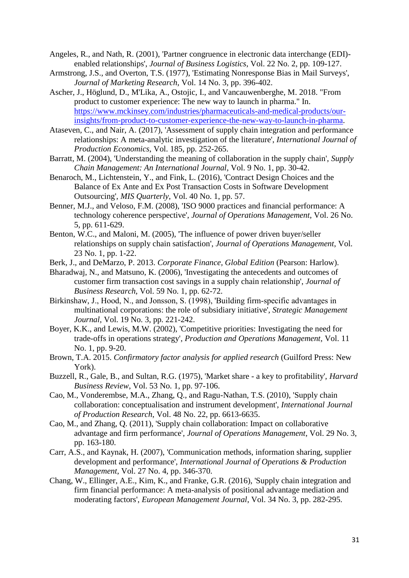- Angeles, R., and Nath, R. (2001), 'Partner congruence in electronic data interchange (EDI) enabled relationships', *Journal of Business Logistics*, Vol. 22 No. 2, pp. 109-127.
- Armstrong, J.S., and Overton, T.S. (1977), 'Estimating Nonresponse Bias in Mail Surveys', *Journal of Marketing Research*, Vol. 14 No. 3, pp. 396-402.
- Ascher, J., Höglund, D., M'Lika, A., Ostojic, I., and Vancauwenberghe, M. 2018. "From product to customer experience: The new way to launch in pharma." In. [https://www.mckinsey.com/industries/pharmaceuticals-and-medical-products/our](https://www.mckinsey.com/industries/pharmaceuticals-and-medical-products/our-insights/from-product-to-customer-experience-the-new-way-to-launch-in-pharma)[insights/from-product-to-customer-experience-the-new-way-to-launch-in-pharma.](https://www.mckinsey.com/industries/pharmaceuticals-and-medical-products/our-insights/from-product-to-customer-experience-the-new-way-to-launch-in-pharma)
- Ataseven, C., and Nair, A. (2017), 'Assessment of supply chain integration and performance relationships: A meta-analytic investigation of the literature', *International Journal of Production Economics*, Vol. 185, pp. 252-265.
- Barratt, M. (2004), 'Understanding the meaning of collaboration in the supply chain', *Supply Chain Management: An International Journal*, Vol. 9 No. 1, pp. 30-42.
- Benaroch, M., Lichtenstein, Y., and Fink, L. (2016), 'Contract Design Choices and the Balance of Ex Ante and Ex Post Transaction Costs in Software Development Outsourcing', *MIS Quarterly*, Vol. 40 No. 1, pp. 57.
- Benner, M.J., and Veloso, F.M. (2008), 'ISO 9000 practices and financial performance: A technology coherence perspective', *Journal of Operations Management*, Vol. 26 No. 5, pp. 611-629.
- Benton, W.C., and Maloni, M. (2005), 'The influence of power driven buyer/seller relationships on supply chain satisfaction', *Journal of Operations Management*, Vol. 23 No. 1, pp. 1-22.
- Berk, J., and DeMarzo, P. 2013. *Corporate Finance, Global Edition* (Pearson: Harlow).
- Bharadwaj, N., and Matsuno, K. (2006), 'Investigating the antecedents and outcomes of customer firm transaction cost savings in a supply chain relationship', *Journal of Business Research*, Vol. 59 No. 1, pp. 62-72.
- Birkinshaw, J., Hood, N., and Jonsson, S. (1998), 'Building firm‐specific advantages in multinational corporations: the role of subsidiary initiative', *Strategic Management Journal*, Vol. 19 No. 3, pp. 221-242.
- Boyer, K.K., and Lewis, M.W. (2002), 'Competitive priorities: Investigating the need for trade-offs in operations strategy', *Production and Operations Management*, Vol. 11 No. 1, pp. 9-20.
- Brown, T.A. 2015. *Confirmatory factor analysis for applied research* (Guilford Press: New York).
- Buzzell, R., Gale, B., and Sultan, R.G. (1975), 'Market share a key to profitability', *Harvard Business Review*, Vol. 53 No. 1, pp. 97-106.
- Cao, M., Vonderembse, M.A., Zhang, Q., and Ragu-Nathan, T.S. (2010), 'Supply chain collaboration: conceptualisation and instrument development', *International Journal of Production Research*, Vol. 48 No. 22, pp. 6613-6635.
- Cao, M., and Zhang, Q. (2011), 'Supply chain collaboration: Impact on collaborative advantage and firm performance', *Journal of Operations Management*, Vol. 29 No. 3, pp. 163-180.
- Carr, A.S., and Kaynak, H. (2007), 'Communication methods, information sharing, supplier development and performance', *International Journal of Operations & Production Management*, Vol. 27 No. 4, pp. 346-370.
- Chang, W., Ellinger, A.E., Kim, K., and Franke, G.R. (2016), 'Supply chain integration and firm financial performance: A meta-analysis of positional advantage mediation and moderating factors', *European Management Journal*, Vol. 34 No. 3, pp. 282-295.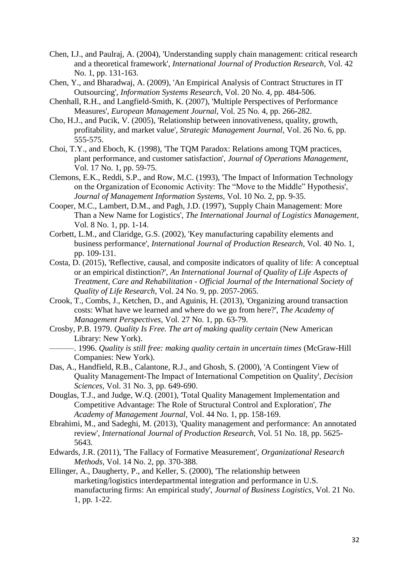- Chen, I.J., and Paulraj, A. (2004), 'Understanding supply chain management: critical research and a theoretical framework', *International Journal of Production Research*, Vol. 42 No. 1, pp. 131-163.
- Chen, Y., and Bharadwaj, A. (2009), 'An Empirical Analysis of Contract Structures in IT Outsourcing', *Information Systems Research*, Vol. 20 No. 4, pp. 484-506.
- Chenhall, R.H., and Langfield-Smith, K. (2007), 'Multiple Perspectives of Performance Measures', *European Management Journal*, Vol. 25 No. 4, pp. 266-282.
- Cho, H.J., and Pucik, V. (2005), 'Relationship between innovativeness, quality, growth, profitability, and market value', *Strategic Management Journal*, Vol. 26 No. 6, pp. 555-575.
- Choi, T.Y., and Eboch, K. (1998), 'The TQM Paradox: Relations among TQM practices, plant performance, and customer satisfaction', *Journal of Operations Management*, Vol. 17 No. 1, pp. 59-75.
- Clemons, E.K., Reddi, S.P., and Row, M.C. (1993), 'The Impact of Information Technology on the Organization of Economic Activity: The "Move to the Middle" Hypothesis', *Journal of Management Information Systems*, Vol. 10 No. 2, pp. 9-35.
- Cooper, M.C., Lambert, D.M., and Pagh, J.D. (1997), 'Supply Chain Management: More Than a New Name for Logistics', *The International Journal of Logistics Management*, Vol. 8 No. 1, pp. 1-14.
- Corbett, L.M., and Claridge, G.S. (2002), 'Key manufacturing capability elements and business performance', *International Journal of Production Research*, Vol. 40 No. 1, pp. 109-131.
- Costa, D. (2015), 'Reflective, causal, and composite indicators of quality of life: A conceptual or an empirical distinction?', *An International Journal of Quality of Life Aspects of Treatment, Care and Rehabilitation - Official Journal of the International Society of Quality of Life Research*, Vol. 24 No. 9, pp. 2057-2065.
- Crook, T., Combs, J., Ketchen, D., and Aguinis, H. (2013), 'Organizing around transaction costs: What have we learned and where do we go from here?', *The Academy of Management Perspectives*, Vol. 27 No. 1, pp. 63-79.
- Crosby, P.B. 1979. *Quality Is Free. The art of making quality certain* (New American Library: New York).
	- ———. 1996. *Quality is still free: making quality certain in uncertain times* (McGraw-Hill Companies: New York).
- Das, A., Handfield, R.B., Calantone, R.J., and Ghosh, S. (2000), 'A Contingent View of Quality Management‐The Impact of International Competition on Quality', *Decision Sciences*, Vol. 31 No. 3, pp. 649-690.
- Douglas, T.J., and Judge, W.Q. (2001), 'Total Quality Management Implementation and Competitive Advantage: The Role of Structural Control and Exploration', *The Academy of Management Journal*, Vol. 44 No. 1, pp. 158-169.
- Ebrahimi, M., and Sadeghi, M. (2013), 'Quality management and performance: An annotated review', *International Journal of Production Research*, Vol. 51 No. 18, pp. 5625- 5643.
- Edwards, J.R. (2011), 'The Fallacy of Formative Measurement', *Organizational Research Methods*, Vol. 14 No. 2, pp. 370-388.
- Ellinger, A., Daugherty, P., and Keller, S. (2000), 'The relationship between marketing/logistics interdepartmental integration and performance in U.S. manufacturing firms: An empirical study', *Journal of Business Logistics*, Vol. 21 No. 1, pp. 1-22.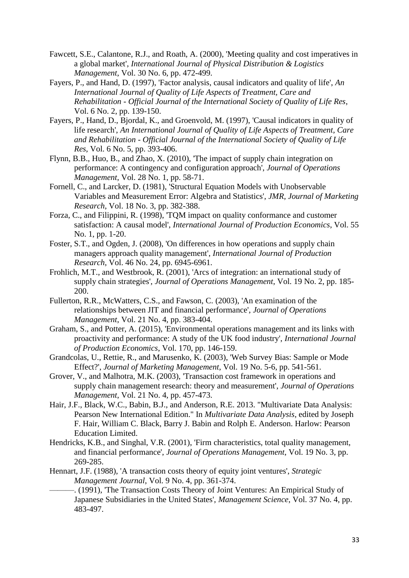- Fawcett, S.E., Calantone, R.J., and Roath, A. (2000), 'Meeting quality and cost imperatives in a global market', *International Journal of Physical Distribution & Logistics Management*, Vol. 30 No. 6, pp. 472-499.
- Fayers, P., and Hand, D. (1997), 'Factor analysis, causal indicators and quality of life', *An International Journal of Quality of Life Aspects of Treatment, Care and Rehabilitation - Official Journal of the International Society of Quality of Life Res*, Vol. 6 No. 2, pp. 139-150.
- Fayers, P., Hand, D., Bjordal, K., and Groenvold, M. (1997), 'Causal indicators in quality of life research', *An International Journal of Quality of Life Aspects of Treatment, Care and Rehabilitation - Official Journal of the International Society of Quality of Life Res*, Vol. 6 No. 5, pp. 393-406.
- Flynn, B.B., Huo, B., and Zhao, X. (2010), 'The impact of supply chain integration on performance: A contingency and configuration approach', *Journal of Operations Management*, Vol. 28 No. 1, pp. 58-71.
- Fornell, C., and Larcker, D. (1981), 'Structural Equation Models with Unobservable Variables and Measurement Error: Algebra and Statistics', *JMR, Journal of Marketing Research*, Vol. 18 No. 3, pp. 382-388.
- Forza, C., and Filippini, R. (1998), 'TQM impact on quality conformance and customer satisfaction: A causal model', *International Journal of Production Economics*, Vol. 55 No. 1, pp. 1-20.
- Foster, S.T., and Ogden, J. (2008), 'On differences in how operations and supply chain managers approach quality management', *International Journal of Production Research*, Vol. 46 No. 24, pp. 6945-6961.
- Frohlich, M.T., and Westbrook, R. (2001), 'Arcs of integration: an international study of supply chain strategies', *Journal of Operations Management*, Vol. 19 No. 2, pp. 185- 200.
- Fullerton, R.R., McWatters, C.S., and Fawson, C. (2003), 'An examination of the relationships between JIT and financial performance', *Journal of Operations Management*, Vol. 21 No. 4, pp. 383-404.
- Graham, S., and Potter, A. (2015), 'Environmental operations management and its links with proactivity and performance: A study of the UK food industry', *International Journal of Production Economics*, Vol. 170, pp. 146-159.
- Grandcolas, U., Rettie, R., and Marusenko, K. (2003), 'Web Survey Bias: Sample or Mode Effect?', *Journal of Marketing Management*, Vol. 19 No. 5-6, pp. 541-561.
- Grover, V., and Malhotra, M.K. (2003), 'Transaction cost framework in operations and supply chain management research: theory and measurement', *Journal of Operations Management*, Vol. 21 No. 4, pp. 457-473.
- Hair, J.F., Black, W.C., Babin, B.J., and Anderson, R.E. 2013. "Multivariate Data Analysis: Pearson New International Edition." In *Multivariate Data Analysis*, edited by Joseph F. Hair, William C. Black, Barry J. Babin and Rolph E. Anderson. Harlow: Pearson Education Limited.
- Hendricks, K.B., and Singhal, V.R. (2001), 'Firm characteristics, total quality management, and financial performance', *Journal of Operations Management*, Vol. 19 No. 3, pp. 269-285.
- Hennart, J.F. (1988), 'A transaction costs theory of equity joint ventures', *Strategic Management Journal*, Vol. 9 No. 4, pp. 361-374.
	- ———. (1991), 'The Transaction Costs Theory of Joint Ventures: An Empirical Study of Japanese Subsidiaries in the United States', *Management Science*, Vol. 37 No. 4, pp. 483-497.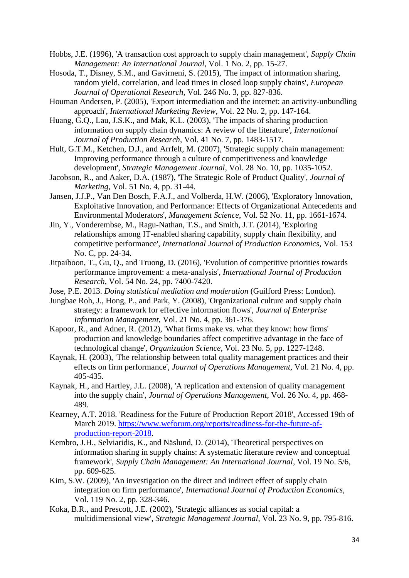- Hobbs, J.E. (1996), 'A transaction cost approach to supply chain management', *Supply Chain Management: An International Journal*, Vol. 1 No. 2, pp. 15-27.
- Hosoda, T., Disney, S.M., and Gavirneni, S. (2015), 'The impact of information sharing, random yield, correlation, and lead times in closed loop supply chains', *European Journal of Operational Research*, Vol. 246 No. 3, pp. 827-836.
- Houman Andersen, P. (2005), 'Export intermediation and the internet: an activity-unbundling approach', *International Marketing Review*, Vol. 22 No. 2, pp. 147-164.
- Huang, G.Q., Lau, J.S.K., and Mak, K.L. (2003), 'The impacts of sharing production information on supply chain dynamics: A review of the literature', *International Journal of Production Research*, Vol. 41 No. 7, pp. 1483-1517.
- Hult, G.T.M., Ketchen, D.J., and Arrfelt, M. (2007), 'Strategic supply chain management: Improving performance through a culture of competitiveness and knowledge development', *Strategic Management Journal*, Vol. 28 No. 10, pp. 1035-1052.
- Jacobson, R., and Aaker, D.A. (1987), 'The Strategic Role of Product Quality', *Journal of Marketing*, Vol. 51 No. 4, pp. 31-44.
- Jansen, J.J.P., Van Den Bosch, F.A.J., and Volberda, H.W. (2006), 'Exploratory Innovation, Exploitative Innovation, and Performance: Effects of Organizational Antecedents and Environmental Moderators', *Management Science*, Vol. 52 No. 11, pp. 1661-1674.
- Jin, Y., Vonderembse, M., Ragu-Nathan, T.S., and Smith, J.T. (2014), 'Exploring relationships among IT-enabled sharing capability, supply chain flexibility, and competitive performance', *International Journal of Production Economics*, Vol. 153 No. C, pp. 24-34.
- Jitpaiboon, T., Gu, Q., and Truong, D. (2016), 'Evolution of competitive priorities towards performance improvement: a meta-analysis', *International Journal of Production Research*, Vol. 54 No. 24, pp. 7400-7420.
- Jose, P.E. 2013. *Doing statistical mediation and moderation* (Guilford Press: London).
- Jungbae Roh, J., Hong, P., and Park, Y. (2008), 'Organizational culture and supply chain strategy: a framework for effective information flows', *Journal of Enterprise Information Management*, Vol. 21 No. 4, pp. 361-376.
- Kapoor, R., and Adner, R. (2012), 'What firms make vs. what they know: how firms' production and knowledge boundaries affect competitive advantage in the face of technological change', *Organization Science*, Vol. 23 No. 5, pp. 1227-1248.
- Kaynak, H. (2003), 'The relationship between total quality management practices and their effects on firm performance', *Journal of Operations Management*, Vol. 21 No. 4, pp. 405-435.
- Kaynak, H., and Hartley, J.L. (2008), 'A replication and extension of quality management into the supply chain', *Journal of Operations Management*, Vol. 26 No. 4, pp. 468- 489.
- Kearney, A.T. 2018. 'Readiness for the Future of Production Report 2018', Accessed 19th of March 2019. [https://www.weforum.org/reports/readiness-for-the-future-of](https://www.weforum.org/reports/readiness-for-the-future-of-production-report-2018)[production-report-2018.](https://www.weforum.org/reports/readiness-for-the-future-of-production-report-2018)
- Kembro, J.H., Selviaridis, K., and Näslund, D. (2014), 'Theoretical perspectives on information sharing in supply chains: A systematic literature review and conceptual framework', *Supply Chain Management: An International Journal*, Vol. 19 No. 5/6, pp. 609-625.
- Kim, S.W. (2009), 'An investigation on the direct and indirect effect of supply chain integration on firm performance', *International Journal of Production Economics*, Vol. 119 No. 2, pp. 328-346.
- Koka, B.R., and Prescott, J.E. (2002), 'Strategic alliances as social capital: a multidimensional view', *Strategic Management Journal*, Vol. 23 No. 9, pp. 795-816.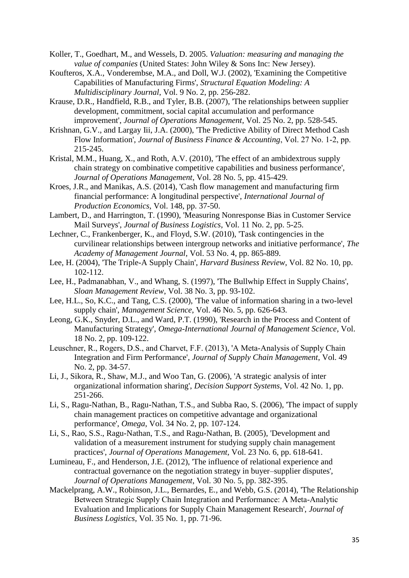- Koller, T., Goedhart, M., and Wessels, D. 2005. *Valuation: measuring and managing the value of companies* (United States: John Wiley & Sons Inc: New Jersey).
- Koufteros, X.A., Vonderembse, M.A., and Doll, W.J. (2002), 'Examining the Competitive Capabilities of Manufacturing Firms', *Structural Equation Modeling: A Multidisciplinary Journal*, Vol. 9 No. 2, pp. 256-282.
- Krause, D.R., Handfield, R.B., and Tyler, B.B. (2007), 'The relationships between supplier development, commitment, social capital accumulation and performance improvement', *Journal of Operations Management*, Vol. 25 No. 2, pp. 528-545.
- Krishnan, G.V., and Largay Iii, J.A. (2000), 'The Predictive Ability of Direct Method Cash Flow Information', *Journal of Business Finance & Accounting*, Vol. 27 No. 1‐2, pp. 215-245.
- Kristal, M.M., Huang, X., and Roth, A.V. (2010), 'The effect of an ambidextrous supply chain strategy on combinative competitive capabilities and business performance', *Journal of Operations Management*, Vol. 28 No. 5, pp. 415-429.
- Kroes, J.R., and Manikas, A.S. (2014), 'Cash flow management and manufacturing firm financial performance: A longitudinal perspective', *International Journal of Production Economics*, Vol. 148, pp. 37-50.
- Lambert, D., and Harrington, T. (1990), 'Measuring Nonresponse Bias in Customer Service Mail Surveys', *Journal of Business Logistics*, Vol. 11 No. 2, pp. 5-25.
- Lechner, C., Frankenberger, K., and Floyd, S.W. (2010), 'Task contingencies in the curvilinear relationships between intergroup networks and initiative performance', *The Academy of Management Journal*, Vol. 53 No. 4, pp. 865-889.
- Lee, H. (2004), 'The Triple-A Supply Chain', *Harvard Business Review*, Vol. 82 No. 10, pp. 102-112.
- Lee, H., Padmanabhan, V., and Whang, S. (1997), 'The Bullwhip Effect in Supply Chains', *Sloan Management Review*, Vol. 38 No. 3, pp. 93-102.
- Lee, H.L., So, K.C., and Tang, C.S. (2000), 'The value of information sharing in a two-level supply chain', *Management Science*, Vol. 46 No. 5, pp. 626-643.
- Leong, G.K., Snyder, D.L., and Ward, P.T. (1990), 'Research in the Process and Content of Manufacturing Strategy', *Omega-International Journal of Management Science*, Vol. 18 No. 2, pp. 109-122.
- Leuschner, R., Rogers, D.S., and Charvet, F.F. (2013), 'A Meta-Analysis of Supply Chain Integration and Firm Performance', *Journal of Supply Chain Management*, Vol. 49 No. 2, pp. 34-57.
- Li, J., Sikora, R., Shaw, M.J., and Woo Tan, G. (2006), 'A strategic analysis of inter organizational information sharing', *Decision Support Systems*, Vol. 42 No. 1, pp. 251-266.
- Li, S., Ragu-Nathan, B., Ragu-Nathan, T.S., and Subba Rao, S. (2006), 'The impact of supply chain management practices on competitive advantage and organizational performance', *Omega*, Vol. 34 No. 2, pp. 107-124.
- Li, S., Rao, S.S., Ragu-Nathan, T.S., and Ragu-Nathan, B. (2005), 'Development and validation of a measurement instrument for studying supply chain management practices', *Journal of Operations Management*, Vol. 23 No. 6, pp. 618-641.
- Lumineau, F., and Henderson, J.E. (2012), 'The influence of relational experience and contractual governance on the negotiation strategy in buyer–supplier disputes', *Journal of Operations Management*, Vol. 30 No. 5, pp. 382-395.
- Mackelprang, A.W., Robinson, J.L., Bernardes, E., and Webb, G.S. (2014), 'The Relationship Between Strategic Supply Chain Integration and Performance: A Meta-Analytic Evaluation and Implications for Supply Chain Management Research', *Journal of Business Logistics*, Vol. 35 No. 1, pp. 71-96.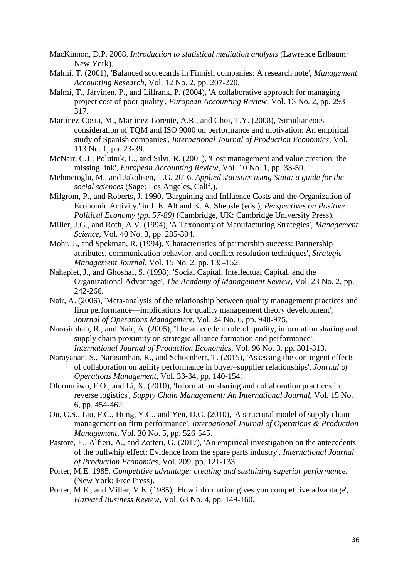- MacKinnon, D.P. 2008. *Introduction to statistical mediation analysis* (Lawrence Erlbaum: New York).
- Malmi, T. (2001), 'Balanced scorecards in Finnish companies: A research note', *Management Accounting Research*, Vol. 12 No. 2, pp. 207-220.
- Malmi, T., Järvinen, P., and Lillrank, P. (2004), 'A collaborative approach for managing project cost of poor quality', *European Accounting Review*, Vol. 13 No. 2, pp. 293- 317.
- Martínez-Costa, M., Martínez-Lorente, A.R., and Choi, T.Y. (2008), 'Simultaneous consideration of TQM and ISO 9000 on performance and motivation: An empirical study of Spanish companies', *International Journal of Production Economics*, Vol. 113 No. 1, pp. 23-39.
- McNair, C.J., Polutnik, L., and Silvi, R. (2001), 'Cost management and value creation: the missing link', *European Accounting Review*, Vol. 10 No. 1, pp. 33-50.
- Mehmetoglu, M., and Jakobsen, T.G. 2016. *Applied statistics using Stata: a guide for the social sciences* (Sage: Los Angeles, Calif.).
- Milgrom, P., and Roberts, J. 1990. 'Bargaining and Influence Costs and the Organization of Economic Activity.' in J. E. Alt and K. A. Shepsle (eds.), *Perspectives on Positive Political Economy (pp. 57-89)* (Cambridge, UK: Cambridge University Press).
- Miller, J.G., and Roth, A.V. (1994), 'A Taxonomy of Manufacturing Strategies', *Management Science*, Vol. 40 No. 3, pp. 285-304.
- Mohr, J., and Spekman, R. (1994), 'Characteristics of partnership success: Partnership attributes, communication behavior, and conflict resolution techniques', *Strategic Management Journal*, Vol. 15 No. 2, pp. 135-152.
- Nahapiet, J., and Ghoshal, S. (1998), 'Social Capital, Intellectual Capital, and the Organizational Advantage', *The Academy of Management Review*, Vol. 23 No. 2, pp. 242-266.
- Nair, A. (2006), 'Meta-analysis of the relationship between quality management practices and firm performance—implications for quality management theory development', *Journal of Operations Management*, Vol. 24 No. 6, pp. 948-975.
- Narasimhan, R., and Nair, A. (2005), 'The antecedent role of quality, information sharing and supply chain proximity on strategic alliance formation and performance', *International Journal of Production Economics*, Vol. 96 No. 3, pp. 301-313.
- Narayanan, S., Narasimhan, R., and Schoenherr, T. (2015), 'Assessing the contingent effects of collaboration on agility performance in buyer–supplier relationships', *Journal of Operations Management*, Vol. 33-34, pp. 140-154.
- Olorunniwo, F.O., and Li, X. (2010), 'Information sharing and collaboration practices in reverse logistics', *Supply Chain Management: An International Journal*, Vol. 15 No. 6, pp. 454-462.
- Ou, C.S., Liu, F.C., Hung, Y.C., and Yen, D.C. (2010), 'A structural model of supply chain management on firm performance', *International Journal of Operations & Production Management*, Vol. 30 No. 5, pp. 526-545.
- Pastore, E., Alfieri, A., and Zotteri, G. (2017), 'An empirical investigation on the antecedents of the bullwhip effect: Evidence from the spare parts industry', *International Journal of Production Economics*, Vol. 209, pp. 121-133.
- Porter, M.E. 1985. *Competitive advantage: creating and sustaining superior performance.*  (New York: Free Press).
- Porter, M.E., and Millar, V.E. (1985), 'How information gives you competitive advantage', *Harvard Business Review*, Vol. 63 No. 4, pp. 149-160.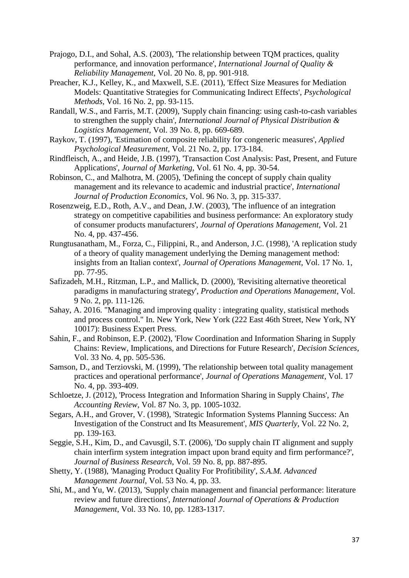- Prajogo, D.I., and Sohal, A.S. (2003), 'The relationship between TQM practices, quality performance, and innovation performance', *International Journal of Quality & Reliability Management*, Vol. 20 No. 8, pp. 901-918.
- Preacher, K.J., Kelley, K., and Maxwell, S.E. (2011), 'Effect Size Measures for Mediation Models: Quantitative Strategies for Communicating Indirect Effects', *Psychological Methods*, Vol. 16 No. 2, pp. 93-115.
- Randall, W.S., and Farris, M.T. (2009), 'Supply chain financing: using cash-to-cash variables to strengthen the supply chain', *International Journal of Physical Distribution & Logistics Management*, Vol. 39 No. 8, pp. 669-689.
- Raykov, T. (1997), 'Estimation of composite reliability for congeneric measures', *Applied Psychological Measurement*, Vol. 21 No. 2, pp. 173-184.
- Rindfleisch, A., and Heide, J.B. (1997), 'Transaction Cost Analysis: Past, Present, and Future Applications', *Journal of Marketing*, Vol. 61 No. 4, pp. 30-54.
- Robinson, C., and Malhotra, M. (2005), 'Defining the concept of supply chain quality management and its relevance to academic and industrial practice', *International Journal of Production Economics*, Vol. 96 No. 3, pp. 315-337.
- Rosenzweig, E.D., Roth, A.V., and Dean, J.W. (2003), 'The influence of an integration strategy on competitive capabilities and business performance: An exploratory study of consumer products manufacturers', *Journal of Operations Management*, Vol. 21 No. 4, pp. 437-456.
- Rungtusanatham, M., Forza, C., Filippini, R., and Anderson, J.C. (1998), 'A replication study of a theory of quality management underlying the Deming management method: insights from an Italian context', *Journal of Operations Management*, Vol. 17 No. 1, pp. 77-95.
- Safizadeh, M.H., Ritzman, L.P., and Mallick, D. (2000), 'Revisiting alternative theoretical paradigms in manufacturing strategy', *Production and Operations Management*, Vol. 9 No. 2, pp. 111-126.
- Sahay, A. 2016. "Managing and improving quality : integrating quality, statistical methods and process control." In. New York, New York (222 East 46th Street, New York, NY 10017): Business Expert Press.
- Sahin, F., and Robinson, E.P. (2002), 'Flow Coordination and Information Sharing in Supply Chains: Review, Implications, and Directions for Future Research', *Decision Sciences*, Vol. 33 No. 4, pp. 505-536.
- Samson, D., and Terziovski, M. (1999), 'The relationship between total quality management practices and operational performance', *Journal of Operations Management*, Vol. 17 No. 4, pp. 393-409.
- Schloetze, J. (2012), 'Process Integration and Information Sharing in Supply Chains', *The Accounting Review*, Vol. 87 No. 3, pp. 1005-1032.
- Segars, A.H., and Grover, V. (1998), 'Strategic Information Systems Planning Success: An Investigation of the Construct and Its Measurement', *MIS Quarterly*, Vol. 22 No. 2, pp. 139-163.
- Seggie, S.H., Kim, D., and Cavusgil, S.T. (2006), 'Do supply chain IT alignment and supply chain interfirm system integration impact upon brand equity and firm performance?', *Journal of Business Research*, Vol. 59 No. 8, pp. 887-895.
- Shetty, Y. (1988), 'Managing Product Quality For Profitibility', *S.A.M. Advanced Management Journal*, Vol. 53 No. 4, pp. 33.
- Shi, M., and Yu, W. (2013), 'Supply chain management and financial performance: literature review and future directions', *International Journal of Operations & Production Management*, Vol. 33 No. 10, pp. 1283-1317.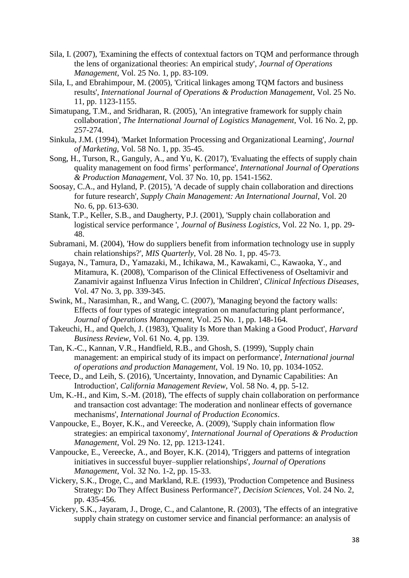- Sila, I. (2007), 'Examining the effects of contextual factors on TQM and performance through the lens of organizational theories: An empirical study', *Journal of Operations Management*, Vol. 25 No. 1, pp. 83-109.
- Sila, I., and Ebrahimpour, M. (2005), 'Critical linkages among TQM factors and business results', *International Journal of Operations & Production Management*, Vol. 25 No. 11, pp. 1123-1155.
- Simatupang, T.M., and Sridharan, R. (2005), 'An integrative framework for supply chain collaboration', *The International Journal of Logistics Management*, Vol. 16 No. 2, pp. 257-274.
- Sinkula, J.M. (1994), 'Market Information Processing and Organizational Learning', *Journal of Marketing*, Vol. 58 No. 1, pp. 35-45.
- Song, H., Turson, R., Ganguly, A., and Yu, K. (2017), 'Evaluating the effects of supply chain quality management on food firms' performance', *International Journal of Operations & Production Management*, Vol. 37 No. 10, pp. 1541-1562.
- Soosay, C.A., and Hyland, P. (2015), 'A decade of supply chain collaboration and directions for future research', *Supply Chain Management: An International Journal*, Vol. 20 No. 6, pp. 613-630.
- Stank, T.P., Keller, S.B., and Daugherty, P.J. (2001), 'Supply chain collaboration and logistical service performance ', *Journal of Business Logistics*, Vol. 22 No. 1, pp. 29- 48.
- Subramani, M. (2004), 'How do suppliers benefit from information technology use in supply chain relationships?', *MIS Quarterly*, Vol. 28 No. 1, pp. 45-73.
- Sugaya, N., Tamura, D., Yamazaki, M., Ichikawa, M., Kawakami, C., Kawaoka, Y., and Mitamura, K. (2008), 'Comparison of the Clinical Effectiveness of Oseltamivir and Zanamivir against Influenza Virus Infection in Children', *Clinical Infectious Diseases*, Vol. 47 No. 3, pp. 339-345.
- Swink, M., Narasimhan, R., and Wang, C. (2007), 'Managing beyond the factory walls: Effects of four types of strategic integration on manufacturing plant performance', *Journal of Operations Management*, Vol. 25 No. 1, pp. 148-164.
- Takeuchi, H., and Quelch, J. (1983), 'Quality Is More than Making a Good Product', *Harvard Business Review*, Vol. 61 No. 4, pp. 139.
- Tan, K.-C., Kannan, V.R., Handfield, R.B., and Ghosh, S. (1999), 'Supply chain management: an empirical study of its impact on performance', *International journal of operations and production Management*, Vol. 19 No. 10, pp. 1034-1052.
- Teece, D., and Leih, S. (2016), 'Uncertainty, Innovation, and Dynamic Capabilities: An Introduction', *California Management Review*, Vol. 58 No. 4, pp. 5-12.
- Um, K.-H., and Kim, S.-M. (2018), 'The effects of supply chain collaboration on performance and transaction cost advantage: The moderation and nonlinear effects of governance mechanisms', *International Journal of Production Economics*.
- Vanpoucke, E., Boyer, K.K., and Vereecke, A. (2009), 'Supply chain information flow strategies: an empirical taxonomy', *International Journal of Operations & Production Management*, Vol. 29 No. 12, pp. 1213-1241.
- Vanpoucke, E., Vereecke, A., and Boyer, K.K. (2014), 'Triggers and patterns of integration initiatives in successful buyer–supplier relationships', *Journal of Operations Management*, Vol. 32 No. 1-2, pp. 15-33.
- Vickery, S.K., Droge, C., and Markland, R.E. (1993), 'Production Competence and Business Strategy: Do They Affect Business Performance?', *Decision Sciences*, Vol. 24 No. 2, pp. 435-456.
- Vickery, S.K., Jayaram, J., Droge, C., and Calantone, R. (2003), 'The effects of an integrative supply chain strategy on customer service and financial performance: an analysis of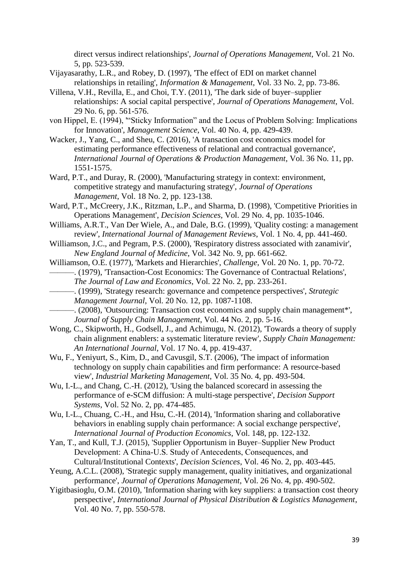direct versus indirect relationships', *Journal of Operations Management*, Vol. 21 No. 5, pp. 523-539.

- Vijayasarathy, L.R., and Robey, D. (1997), 'The effect of EDI on market channel relationships in retailing', *Information & Management*, Vol. 33 No. 2, pp. 73-86.
- Villena, V.H., Revilla, E., and Choi, T.Y. (2011), 'The dark side of buyer–supplier relationships: A social capital perspective', *Journal of Operations Management*, Vol. 29 No. 6, pp. 561-576.
- von Hippel, E. (1994), '"Sticky Information" and the Locus of Problem Solving: Implications for Innovation', *Management Science*, Vol. 40 No. 4, pp. 429-439.
- Wacker, J., Yang, C., and Sheu, C. (2016), 'A transaction cost economics model for estimating performance effectiveness of relational and contractual governance', *International Journal of Operations & Production Management*, Vol. 36 No. 11, pp. 1551-1575.
- Ward, P.T., and Duray, R. (2000), 'Manufacturing strategy in context: environment, competitive strategy and manufacturing strategy', *Journal of Operations Management*, Vol. 18 No. 2, pp. 123-138.
- Ward, P.T., McCreery, J.K., Ritzman, L.P., and Sharma, D. (1998), 'Competitive Priorities in Operations Management', *Decision Sciences*, Vol. 29 No. 4, pp. 1035-1046.
- Williams, A.R.T., Van Der Wiele, A., and Dale, B.G. (1999), 'Quality costing: a management review', *International Journal of Management Reviews*, Vol. 1 No. 4, pp. 441-460.
- Williamson, J.C., and Pegram, P.S. (2000), 'Respiratory distress associated with zanamivir', *New England Journal of Medicine*, Vol. 342 No. 9, pp. 661-662.
- Williamson, O.E. (1977), 'Markets and Hierarchies', *Challenge*, Vol. 20 No. 1, pp. 70-72. ———. (1979), 'Transaction-Cost Economics: The Governance of Contractual Relations', *The Journal of Law and Economics*, Vol. 22 No. 2, pp. 233-261.
- ———. (1999), 'Strategy research: governance and competence perspectives', *Strategic Management Journal*, Vol. 20 No. 12, pp. 1087-1108.
- ———. (2008), 'Outsourcing: Transaction cost economics and supply chain management\*', *Journal of Supply Chain Management*, Vol. 44 No. 2, pp. 5-16.
- Wong, C., Skipworth, H., Godsell, J., and Achimugu, N. (2012), 'Towards a theory of supply chain alignment enablers: a systematic literature review', *Supply Chain Management: An International Journal*, Vol. 17 No. 4, pp. 419-437.
- Wu, F., Yeniyurt, S., Kim, D., and Cavusgil, S.T. (2006), 'The impact of information technology on supply chain capabilities and firm performance: A resource-based view', *Industrial Marketing Management*, Vol. 35 No. 4, pp. 493-504.
- Wu, I.-L., and Chang, C.-H. (2012), 'Using the balanced scorecard in assessing the performance of e-SCM diffusion: A multi-stage perspective', *Decision Support Systems*, Vol. 52 No. 2, pp. 474-485.
- Wu, I.-L., Chuang, C.-H., and Hsu, C.-H. (2014), 'Information sharing and collaborative behaviors in enabling supply chain performance: A social exchange perspective', *International Journal of Production Economics*, Vol. 148, pp. 122-132.
- Yan, T., and Kull, T.J. (2015), 'Supplier Opportunism in Buyer–Supplier New Product Development: A China‐U.S. Study of Antecedents, Consequences, and Cultural/Institutional Contexts', *Decision Sciences*, Vol. 46 No. 2, pp. 403-445.
- Yeung, A.C.L. (2008), 'Strategic supply management, quality initiatives, and organizational performance', *Journal of Operations Management*, Vol. 26 No. 4, pp. 490-502.
- Yigitbasioglu, O.M. (2010), 'Information sharing with key suppliers: a transaction cost theory perspective', *International Journal of Physical Distribution & Logistics Management*, Vol. 40 No. 7, pp. 550-578.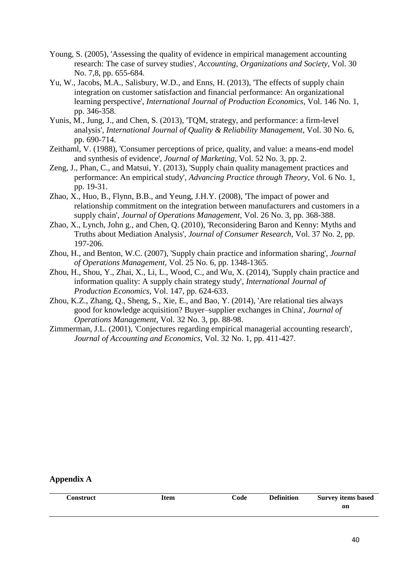- Young, S. (2005), 'Assessing the quality of evidence in empirical management accounting research: The case of survey studies', *Accounting, Organizations and Society*, Vol. 30 No. 7,8, pp. 655-684.
- Yu, W., Jacobs, M.A., Salisbury, W.D., and Enns, H. (2013), 'The effects of supply chain integration on customer satisfaction and financial performance: An organizational learning perspective', *International Journal of Production Economics*, Vol. 146 No. 1, pp. 346-358.
- Yunis, M., Jung, J., and Chen, S. (2013), 'TQM, strategy, and performance: a firm-level analysis', *International Journal of Quality & Reliability Management*, Vol. 30 No. 6, pp. 690-714.
- Zeithaml, V. (1988), 'Consumer perceptions of price, quality, and value: a means-end model and synthesis of evidence', *Journal of Marketing*, Vol. 52 No. 3, pp. 2.
- Zeng, J., Phan, C., and Matsui, Y. (2013), 'Supply chain quality management practices and performance: An empirical study', *Advancing Practice through Theory*, Vol. 6 No. 1, pp. 19-31.
- Zhao, X., Huo, B., Flynn, B.B., and Yeung, J.H.Y. (2008), 'The impact of power and relationship commitment on the integration between manufacturers and customers in a supply chain', *Journal of Operations Management*, Vol. 26 No. 3, pp. 368-388.
- Zhao, X., Lynch, John g., and Chen, Q. (2010), 'Reconsidering Baron and Kenny: Myths and Truths about Mediation Analysis', *Journal of Consumer Research*, Vol. 37 No. 2, pp. 197-206.
- Zhou, H., and Benton, W.C. (2007), 'Supply chain practice and information sharing', *Journal of Operations Management*, Vol. 25 No. 6, pp. 1348-1365.
- Zhou, H., Shou, Y., Zhai, X., Li, L., Wood, C., and Wu, X. (2014), 'Supply chain practice and information quality: A supply chain strategy study', *International Journal of Production Economics*, Vol. 147, pp. 624-633.
- Zhou, K.Z., Zhang, Q., Sheng, S., Xie, E., and Bao, Y. (2014), 'Are relational ties always good for knowledge acquisition? Buyer–supplier exchanges in China', *Journal of Operations Management*, Vol. 32 No. 3, pp. 88-98.
- Zimmerman, J.L. (2001), 'Conjectures regarding empirical managerial accounting research', *Journal of Accounting and Economics*, Vol. 32 No. 1, pp. 411-427.

#### **Appendix A**

| Construct | Item | Code | <b>Definition</b> | <b>Survey items based</b> |
|-----------|------|------|-------------------|---------------------------|
|           |      |      |                   | on                        |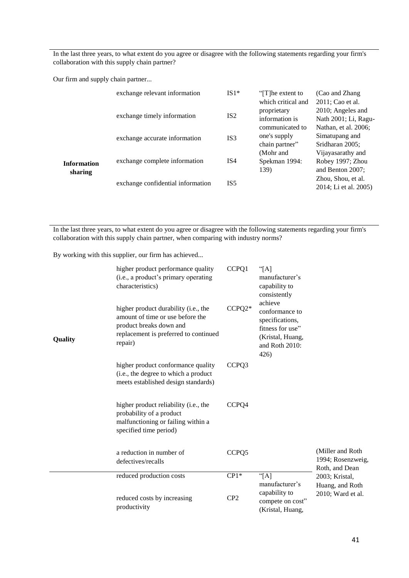In the last three years, to what extent do you agree or disagree with the following statements regarding your firm's collaboration with this supply chain partner?

Our firm and supply chain partner...

|                        | exchange relevant information     | $IS1*$          | "[T] he extent to<br>which critical and          | (Cao and Zhang)<br>2011; Cao et al.                               |
|------------------------|-----------------------------------|-----------------|--------------------------------------------------|-------------------------------------------------------------------|
|                        | exchange timely information       | IS2             | proprietary<br>information is<br>communicated to | 2010; Angeles and<br>Nath 2001; Li, Ragu-<br>Nathan, et al. 2006; |
|                        | exchange accurate information     | IS <sub>3</sub> | one's supply<br>chain partner"                   | Simatupang and<br>Sridharan 2005;                                 |
| Information<br>sharing | exchange complete information     | IS <sub>4</sub> | (Mohr and<br>Spekman 1994:<br>139)               | Vijayasarathy and<br>Robey 1997; Zhou<br>and Benton 2007;         |
|                        | exchange confidential information | IS <sub>5</sub> |                                                  | Zhou, Shou, et al.<br>2014; Li et al. 2005)                       |

In the last three years, to what extent do you agree or disagree with the following statements regarding your firm's collaboration with this supply chain partner, when comparing with industry norms?

By working with this supplier, our firm has achieved...

| Quality | higher product performance quality<br>(i.e., a product's primary operating<br>characteristics)<br>higher product durability (i.e., the<br>amount of time or use before the<br>product breaks down and<br>replacement is preferred to continued<br>repair) | CCPQ1<br>CCPQ2*           | "[A]<br>manufacturer's<br>capability to<br>consistently<br>achieve<br>conformance to<br>specifications,<br>fitness for use"<br>(Kristal, Huang,<br>and Roth 2010:<br>426) |                                                         |
|---------|-----------------------------------------------------------------------------------------------------------------------------------------------------------------------------------------------------------------------------------------------------------|---------------------------|---------------------------------------------------------------------------------------------------------------------------------------------------------------------------|---------------------------------------------------------|
|         | higher product conformance quality<br>(i.e., the degree to which a product<br>meets established design standards)                                                                                                                                         | CCPQ3                     |                                                                                                                                                                           |                                                         |
|         | higher product reliability (i.e., the<br>probability of a product<br>malfunctioning or failing within a<br>specified time period)                                                                                                                         | CCPQ4                     |                                                                                                                                                                           |                                                         |
|         | a reduction in number of<br>defectives/recalls                                                                                                                                                                                                            | CCPQ5                     |                                                                                                                                                                           | (Miller and Roth<br>1994; Rosenzweig,<br>Roth, and Dean |
|         | reduced production costs<br>reduced costs by increasing<br>productivity                                                                                                                                                                                   | $CP1*$<br>CP <sub>2</sub> | "[A]<br>manufacturer's<br>capability to<br>compete on cost"<br>(Kristal, Huang,                                                                                           | 2003; Kristal,<br>Huang, and Roth<br>2010; Ward et al.  |